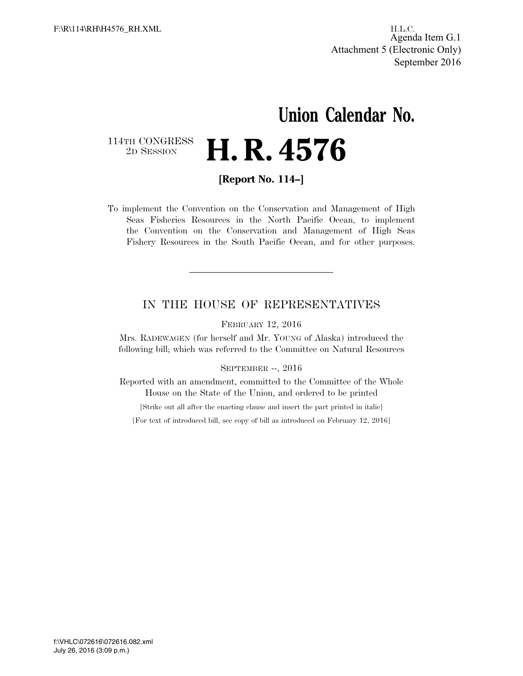H.L.C. Agenda Item G.1 Attachment 5 (Electronic Only) September 2016

# **Union Calendar No.**  2D SESSION **H. R. 4576**

114TH CONGRESS<br>2D SESSION

**[Report No. 114–]** 

To implement the Convention on the Conservation and Management of High Seas Fisheries Resources in the North Pacific Ocean, to implement the Convention on the Conservation and Management of High Seas Fishery Resources in the South Pacific Ocean, and for other purposes.

#### IN THE HOUSE OF REPRESENTATIVES

FEBRUARY 12, 2016

Mrs. RADEWAGEN (for herself and Mr. YOUNG of Alaska) introduced the following bill; which was referred to the Committee on Natural Resources

#### SEPTEMBER --, 2016

Reported with an amendment, committed to the Committee of the Whole House on the State of the Union, and ordered to be printed

[Strike out all after the enacting clause and insert the part printed in italic]

[For text of introduced bill, see copy of bill as introduced on February 12, 2016]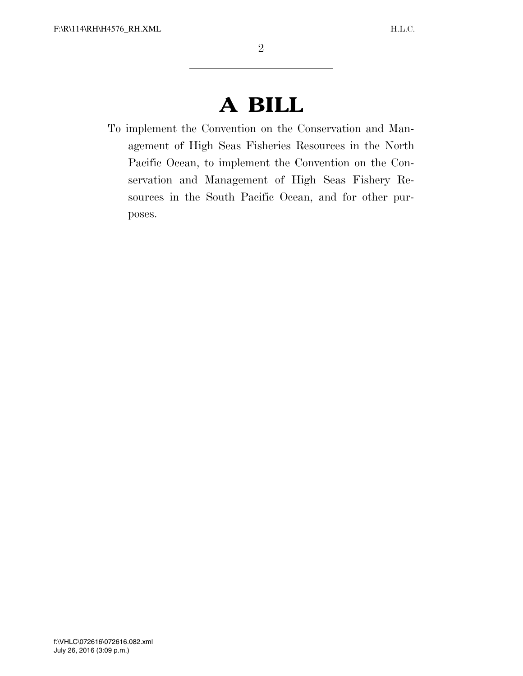## **A BILL**

To implement the Convention on the Conservation and Management of High Seas Fisheries Resources in the North Pacific Ocean, to implement the Convention on the Conservation and Management of High Seas Fishery Resources in the South Pacific Ocean, and for other purposes.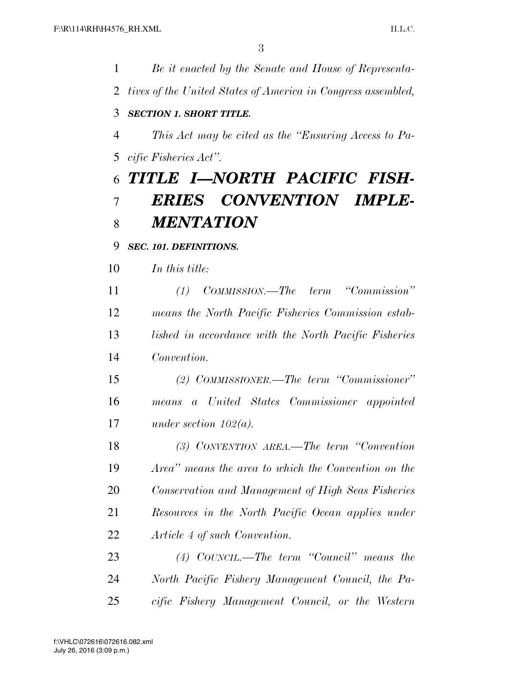*Be it enacted by the Senate and House of Representa- tives of the United States of America in Congress assembled, SECTION 1. SHORT TITLE. This Act may be cited as the ''Ensuring Access to Pa- cific Fisheries Act''. TITLE I—NORTH PACIFIC FISH- ERIES CONVENTION IMPLE- MENTATION SEC. 101. DEFINITIONS. In this title: (1) COMMISSION.—The term ''Commission'' means the North Pacific Fisheries Commission estab- lished in accordance with the North Pacific Fisheries Convention. (2) COMMISSIONER.—The term ''Commissioner'' means a United States Commissioner appointed under section 102(a). (3) CONVENTION AREA.—The term ''Convention Area'' means the area to which the Convention on the Conservation and Management of High Seas Fisheries Resources in the North Pacific Ocean applies under Article 4 of such Convention. (4) COUNCIL.—The term ''Council'' means the North Pacific Fishery Management Council, the Pa-cific Fishery Management Council, or the Western*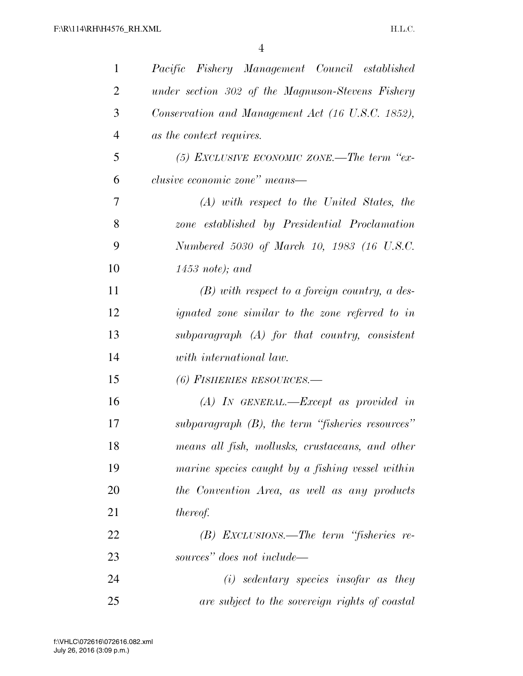| $\mathbf{1}$   | Pacific Fishery Management Council established         |
|----------------|--------------------------------------------------------|
| $\overline{2}$ | under section 302 of the Magnuson-Stevens Fishery      |
| 3              | Conservation and Management Act (16 U.S.C. 1852),      |
| $\overline{4}$ | as the context requires.                               |
| 5              | (5) EXCLUSIVE ECONOMIC ZONE.—The term "ex-             |
| 6              | <i>clusive economic zone</i> " <i>means</i> —          |
| 7              | $(A)$ with respect to the United States, the           |
| 8              | zone established by Presidential Proclamation          |
| 9              | Numbered 5030 of March 10, 1983 (16 U.S.C.             |
| 10             | $1453$ note); and                                      |
| 11             | $(B)$ with respect to a foreign country, a des-        |
| 12             | <i>ignated zone similar to the zone referred to in</i> |
| 13             | subparagraph $(A)$ for that country, consistent        |
| 14             | with international law.                                |
| 15             | (6) FISHERIES RESOURCES.-                              |
| 16             | $(A)$ IN GENERAL.—Except as provided in                |
| 17             | subparagraph $(B)$ , the term "fisheries resources"    |
| 18             | means all fish, mollusks, crustaceans, and other       |
| 19             | marine species caught by a fishing vessel within       |
| 20             | the Convention Area, as well as any products           |
| 21             | <i>thereof.</i>                                        |
| 22             | $(B)$ EXCLUSIONS.—The term "fisheries re-              |
| 23             | sources" does not include—                             |
| 24             | $(i)$ sedentary species insofar as they                |
| 25             | are subject to the sovereign rights of coastal         |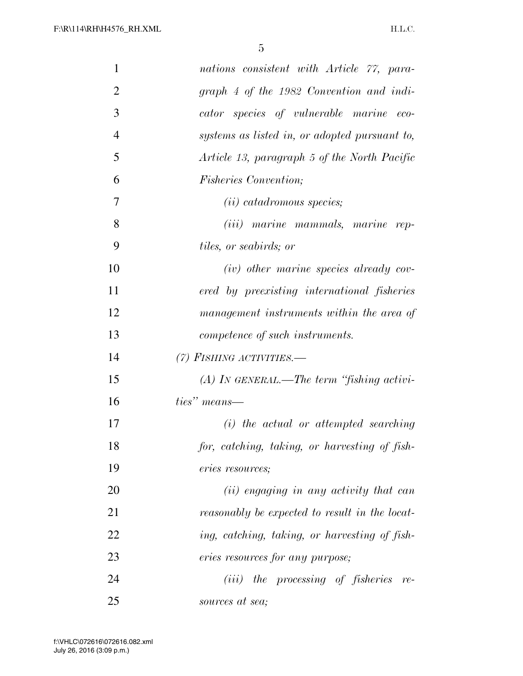| $\mathbf{1}$   | nations consistent with Article 77, para-      |
|----------------|------------------------------------------------|
| $\overline{2}$ | graph 4 of the 1982 Convention and indi-       |
| 3              | cator species of vulnerable marine eco-        |
| $\overline{4}$ | systems as listed in, or adopted pursuant to,  |
| 5              | Article 13, paragraph 5 of the North Pacific   |
| 6              | <i>Fisheries Convention;</i>                   |
| 7              | $(ii)$ catadromous species;                    |
| 8              | (iii) marine mammals, marine rep-              |
| 9              | <i>tiles, or seabirds; or</i>                  |
| 10             | $(iv)$ other marine species already cov-       |
| 11             | ered by preexisting international fisheries    |
| 12             | management instruments within the area of      |
| 13             | competence of such instruments.                |
| 14             | $(7)$ FISHING ACTIVITIES.                      |
| 15             | $(A)$ In GENERAL.—The term "fishing activi-    |
| 16             | ties" means—                                   |
| 17             | $(i)$ the actual or attempted searching        |
| 18             | for, catching, taking, or harvesting of fish-  |
| 19             | eries resources;                               |
| 20             | (ii) engaging in any activity that can         |
| 21             | reasonably be expected to result in the locat- |
| 22             | ing, catching, taking, or harvesting of fish-  |
| 23             | eries resources for any purpose;               |
| 24             | $(iii)$ the processing of fisheries re-        |
| 25             | sources at sea;                                |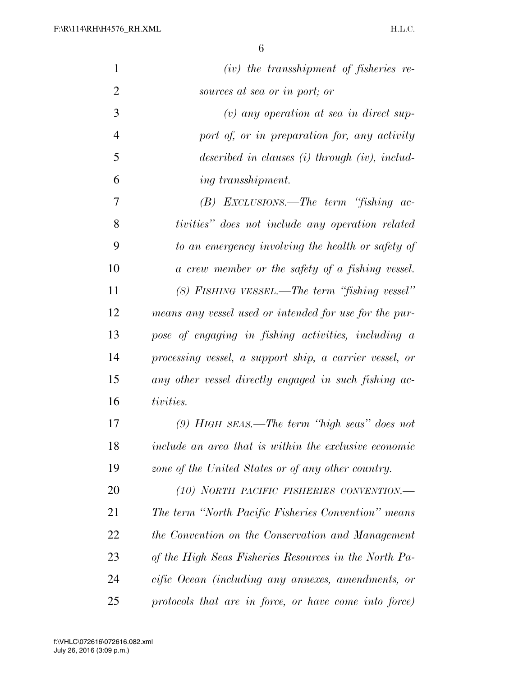| $\mathbf{1}$   | $(iv)$ the transshipment of fisheries re-               |
|----------------|---------------------------------------------------------|
| $\overline{2}$ | sources at sea or in port; or                           |
| 3              | $(v)$ any operation at sea in direct sup-               |
| $\overline{4}$ | port of, or in preparation for, any activity            |
| 5              | described in clauses $(i)$ through $(iv)$ , includ-     |
| 6              | <i>ing transshipment.</i>                               |
| 7              | $(B)$ EXCLUSIONS.—The term "fishing ac-                 |
| 8              | tivities" does not include any operation related        |
| 9              | to an emergency involving the health or safety of       |
| 10             | a crew member or the safety of a fishing vessel.        |
| 11             | $(8)$ FISHING VESSEL.—The term "fishing vessel"         |
| 12             | means any vessel used or intended for use for the pur-  |
| 13             | pose of engaging in fishing activities, including a     |
| 14             | processing vessel, a support ship, a carrier vessel, or |
| 15             | any other vessel directly engaged in such fishing ac-   |
| 16             | tivities.                                               |
| 17             | $(9)$ HIGH SEAS.—The term "high seas" does not          |
| 18             | include an area that is within the exclusive economic   |
| 19             | zone of the United States or of any other country.      |
| 20             | (10) NORTH PACIFIC FISHERIES CONVENTION.-               |
| 21             | The term "North Pacific Fisheries Convention" means     |
| 22             | the Convention on the Conservation and Management       |
| 23             | of the High Seas Fisheries Resources in the North Pa-   |
| 24             | cific Ocean (including any annexes, amendments, or      |
| 25             | protocols that are in force, or have come into force)   |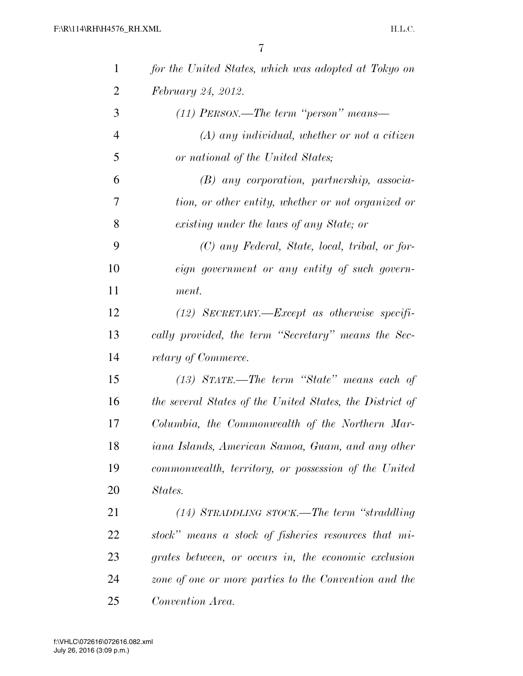| $\mathbf{1}$   | for the United States, which was adopted at Tokyo on     |
|----------------|----------------------------------------------------------|
| $\overline{2}$ | February 24, 2012.                                       |
| 3              | $(11)$ PERSON.—The term "person" means—                  |
| $\overline{4}$ | $(A)$ any individual, whether or not a citizen           |
| 5              | or national of the United States;                        |
| 6              | $(B)$ any corporation, partnership, associa-             |
| 7              | tion, or other entity, whether or not organized or       |
| 8              | existing under the laws of any State; or                 |
| 9              | (C) any Federal, State, local, tribal, or for-           |
| 10             | eign government or any entity of such govern-            |
| 11             | ment.                                                    |
| 12             | $(12)$ SECRETARY.—Except as otherwise specifi-           |
| 13             | cally provided, the term "Secretary" means the Sec-      |
| 14             | retary of Commerce.                                      |
| 15             | $(13)$ STATE.—The term "State" means each of             |
| 16             | the several States of the United States, the District of |
| 17             | Columbia, the Commonwealth of the Northern Mar-          |
| 18             | iana Islands, American Samoa, Guam, and any other        |
| 19             | commonwealth, territory, or possession of the United     |
| 20             | States.                                                  |
| 21             | $(14)$ STRADDLING STOCK.—The term "straddling"           |
| <u>22</u>      | stock" means a stock of fisheries resources that mi-     |
| 23             | grates between, or occurs in, the economic exclusion     |
| 24             | zone of one or more parties to the Convention and the    |
| 25             | Convention Area.                                         |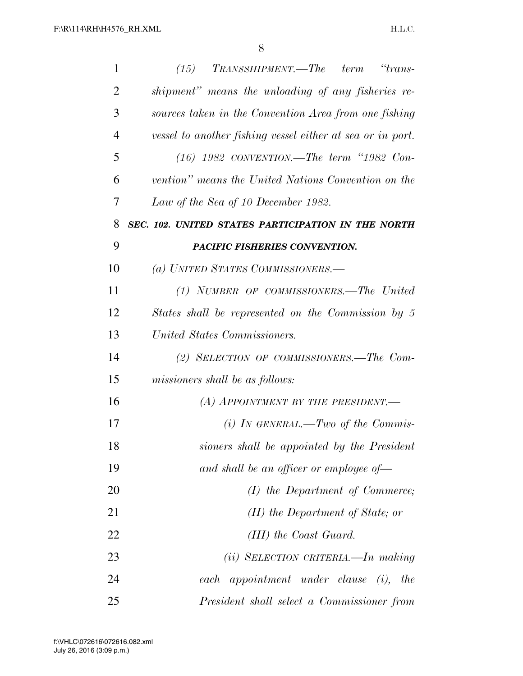| $\mathbf{1}$   | $\emph{T}$ RANSSHIPMENT.— $\emph{T}$ he term<br>"trans-<br>(15) |
|----------------|-----------------------------------------------------------------|
| $\overline{2}$ | shipment" means the unloading of any fisheries re-              |
| 3              | sources taken in the Convention Area from one fishing           |
| $\overline{4}$ | vessel to another fishing vessel either at sea or in port.      |
| 5              | $(16)$ 1982 CONVENTION.—The term "1982 Con-                     |
| 6              | vention" means the United Nations Convention on the             |
| 7              | Law of the Sea of 10 December 1982.                             |
| 8              | SEC. 102. UNITED STATES PARTICIPATION IN THE NORTH              |
| 9              | PACIFIC FISHERIES CONVENTION.                                   |
| 10             | (a) UNITED STATES COMMISSIONERS.-                               |
| 11             | (1) NUMBER OF COMMISSIONERS.—The United                         |
| 12             | States shall be represented on the Commission by 5              |
| 13             | United States Commissioners.                                    |
| 14             | (2) SELECTION OF COMMISSIONERS.-The Com-                        |
| 15             | missioners shall be as follows:                                 |
| 16             | (A) APPOINTMENT BY THE PRESIDENT.                               |
| 17             | (i) IN GENERAL.—Two of the Commis-                              |
| 18             | sioners shall be appointed by the President                     |
| 19             | and shall be an officer or employee of-                         |
| 20             | $(I)$ the Department of Commerce;                               |
| 21             | (II) the Department of State; or                                |
| 22             | $(III)$ the Coast Guard.                                        |
| 23             | $(ii)$ SELECTION CRITERIA.—In making                            |
| 24             | each appointment under clause (i),<br>the                       |
| 25             | President shall select a Commissioner from                      |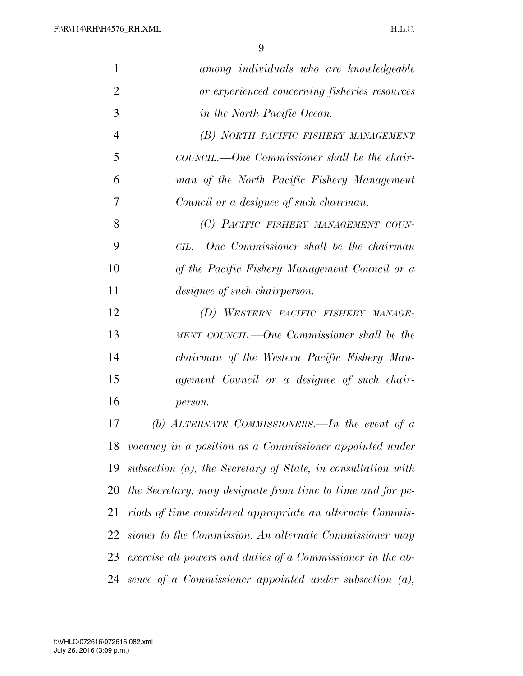| 1              | among individuals who are knowledgeable                      |
|----------------|--------------------------------------------------------------|
| $\overline{2}$ | or experienced concerning fisheries resources                |
| 3              | in the North Pacific Ocean.                                  |
| $\overline{4}$ | (B) NORTH PACIFIC FISHERY MANAGEMENT                         |
| 5              | COUNCIL.—One Commissioner shall be the chair-                |
| 6              | man of the North Pacific Fishery Management                  |
| 7              | Council or a designee of such chairman.                      |
| 8              | (C) PACIFIC FISHERY MANAGEMENT COUN-                         |
| 9              | $CL.$ One Commissioner shall be the chairman                 |
| 10             | of the Pacific Fishery Management Council or a               |
| 11             | <i>designee of such chairperson.</i>                         |
| 12             | (D) WESTERN PACIFIC FISHERY MANAGE-                          |
| 13             | MENT COUNCIL.—One Commissioner shall be the                  |
| 14             | chairman of the Western Pacific Fishery Man-                 |
| 15             | agement Council or a designee of such chair-                 |
| 16             | person.                                                      |
| 17             | (b) ALTERNATE COMMISSIONERS.—In the event of $a$             |
| 18             | vacancy in a position as a Commissioner appointed under      |
| 19             | subsection (a), the Secretary of State, in consultation with |
| 20             | the Secretary, may designate from time to time and for pe-   |
| 21             | riods of time considered appropriate an alternate Commis-    |
| 22             | sioner to the Commission. An alternate Commissioner may      |
| 23             | exercise all powers and duties of a Commissioner in the ab-  |
| 24             | sence of a Commissioner appointed under subsection $(a)$ ,   |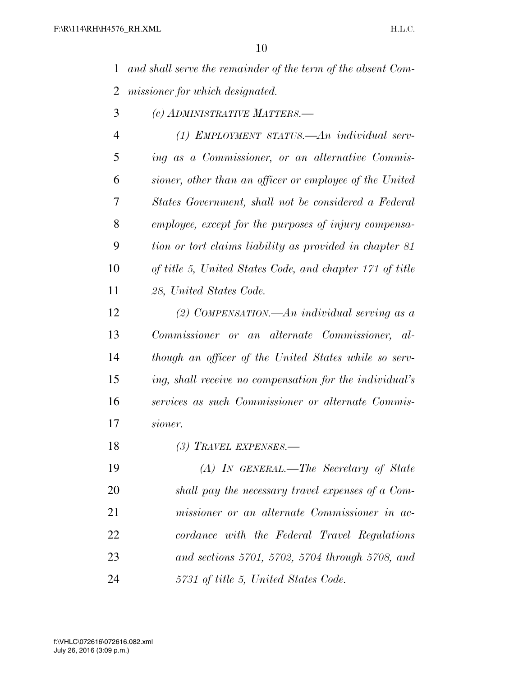*and shall serve the remainder of the term of the absent Com-missioner for which designated.* 

*(c) ADMINISTRATIVE MATTERS.—* 

 *(1) EMPLOYMENT STATUS.—An individual serv- ing as a Commissioner, or an alternative Commis- sioner, other than an officer or employee of the United States Government, shall not be considered a Federal employee, except for the purposes of injury compensa- tion or tort claims liability as provided in chapter 81 of title 5, United States Code, and chapter 171 of title 28, United States Code.* 

 *(2) COMPENSATION.—An individual serving as a Commissioner or an alternate Commissioner, al- though an officer of the United States while so serv- ing, shall receive no compensation for the individual's services as such Commissioner or alternate Commis-sioner.* 

*(3) TRAVEL EXPENSES.—* 

 *(A) IN GENERAL.—The Secretary of State shall pay the necessary travel expenses of a Com- missioner or an alternate Commissioner in ac- cordance with the Federal Travel Regulations and sections 5701, 5702, 5704 through 5708, and 5731 of title 5, United States Code.*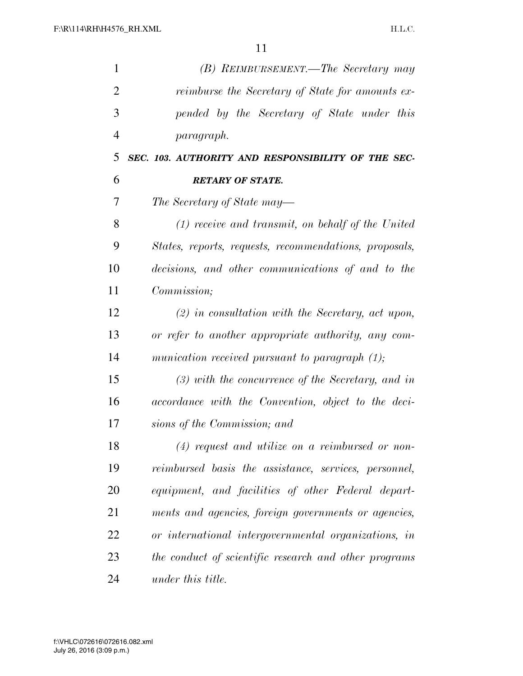| $\mathbf{1}$   | (B) REIMBURSEMENT.—The Secretary may                   |
|----------------|--------------------------------------------------------|
| $\overline{2}$ | reimburse the Secretary of State for amounts ex-       |
| 3              | pended by the Secretary of State under this            |
| $\overline{4}$ | <i>paragraph.</i>                                      |
| 5              | SEC. 103. AUTHORITY AND RESPONSIBILITY OF THE SEC-     |
| 6              | <b>RETARY OF STATE.</b>                                |
| 7              | The Secretary of State may—                            |
| 8              | $(1)$ receive and transmit, on behalf of the United    |
| 9              | States, reports, requests, recommendations, proposals, |
| 10             | decisions, and other communications of and to the      |
| 11             | Commission;                                            |
| 12             | $(2)$ in consultation with the Secretary, act upon,    |
| 13             | or refer to another appropriate authority, any com-    |
| 14             | munication received pursuant to paragraph $(1)$ ;      |
| 15             | $(3)$ with the concurrence of the Secretary, and in    |
| 16             | accordance with the Convention, object to the deci-    |
| 17             | sions of the Commission; and                           |
| 18             | $(4)$ request and utilize on a reimbursed or non-      |
| 19             | reimbursed basis the assistance, services, personnel,  |
| 20             | equipment, and facilities of other Federal depart-     |
| 21             | ments and agencies, foreign governments or agencies,   |
| 22             | or international intergovernmental organizations, in   |
| 23             | the conduct of scientific research and other programs  |
| 24             | under this title.                                      |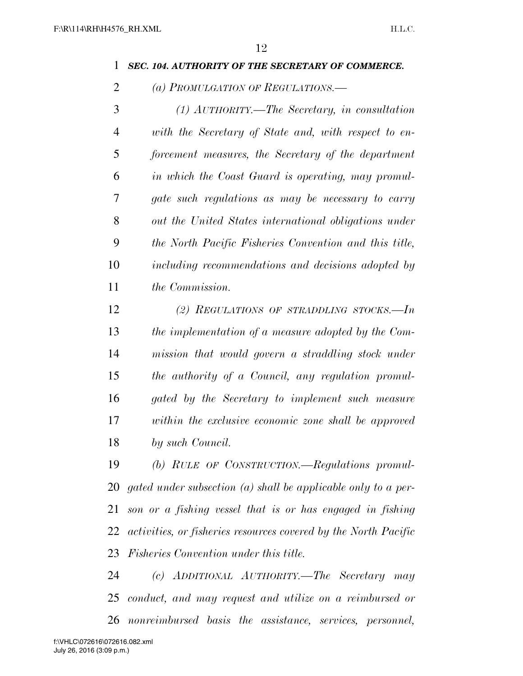#### *SEC. 104. AUTHORITY OF THE SECRETARY OF COMMERCE.*

*(a) PROMULGATION OF REGULATIONS.—* 

 *(1) AUTHORITY.—The Secretary, in consultation with the Secretary of State and, with respect to en- forcement measures, the Secretary of the department in which the Coast Guard is operating, may promul- gate such regulations as may be necessary to carry out the United States international obligations under the North Pacific Fisheries Convention and this title, including recommendations and decisions adopted by the Commission.* 

 *(2) REGULATIONS OF STRADDLING STOCKS.—In the implementation of a measure adopted by the Com- mission that would govern a straddling stock under the authority of a Council, any regulation promul- gated by the Secretary to implement such measure within the exclusive economic zone shall be approved by such Council.* 

 *(b) RULE OF CONSTRUCTION.—Regulations promul- gated under subsection (a) shall be applicable only to a per- son or a fishing vessel that is or has engaged in fishing activities, or fisheries resources covered by the North Pacific Fisheries Convention under this title.* 

 *(c) ADDITIONAL AUTHORITY.—The Secretary may conduct, and may request and utilize on a reimbursed or nonreimbursed basis the assistance, services, personnel,*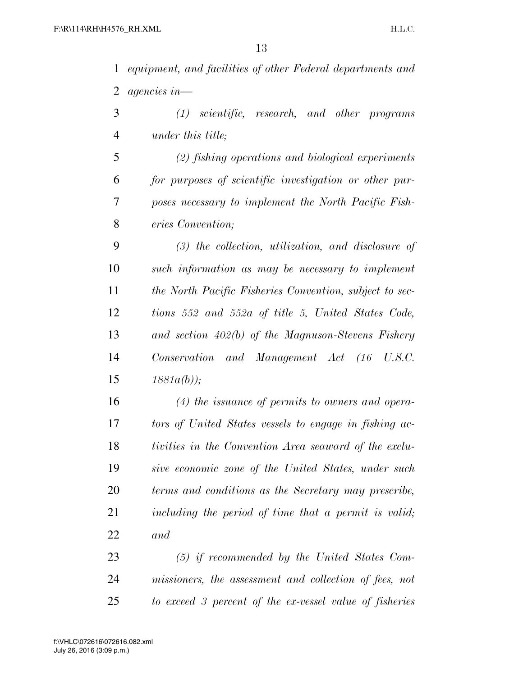*equipment, and facilities of other Federal departments and agencies in—* 

 *(1) scientific, research, and other programs under this title;* 

 *(2) fishing operations and biological experiments for purposes of scientific investigation or other pur- poses necessary to implement the North Pacific Fish-eries Convention;* 

 *(3) the collection, utilization, and disclosure of such information as may be necessary to implement the North Pacific Fisheries Convention, subject to sec- tions 552 and 552a of title 5, United States Code, and section 402(b) of the Magnuson-Stevens Fishery Conservation and Management Act (16 U.S.C. 1881a(b));* 

 *(4) the issuance of permits to owners and opera- tors of United States vessels to engage in fishing ac- tivities in the Convention Area seaward of the exclu- sive economic zone of the United States, under such terms and conditions as the Secretary may prescribe, including the period of time that a permit is valid; and* 

 *(5) if recommended by the United States Com- missioners, the assessment and collection of fees, not to exceed 3 percent of the ex-vessel value of fisheries*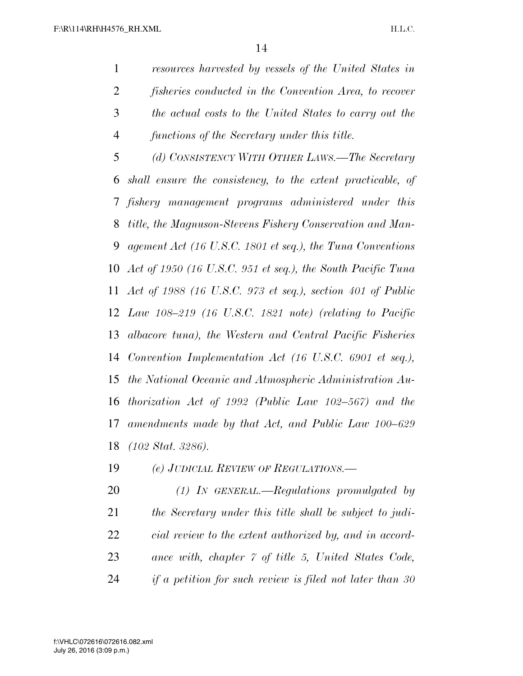*resources harvested by vessels of the United States in fisheries conducted in the Convention Area, to recover the actual costs to the United States to carry out the functions of the Secretary under this title. (d) CONSISTENCY WITH OTHER LAWS.—The Secretary* 

 *shall ensure the consistency, to the extent practicable, of fishery management programs administered under this title, the Magnuson-Stevens Fishery Conservation and Man- agement Act (16 U.S.C. 1801 et seq.), the Tuna Conventions Act of 1950 (16 U.S.C. 951 et seq.), the South Pacific Tuna Act of 1988 (16 U.S.C. 973 et seq.), section 401 of Public Law 108–219 (16 U.S.C. 1821 note) (relating to Pacific albacore tuna), the Western and Central Pacific Fisheries Convention Implementation Act (16 U.S.C. 6901 et seq.), the National Oceanic and Atmospheric Administration Au- thorization Act of 1992 (Public Law 102–567) and the amendments made by that Act, and Public Law 100–629 (102 Stat. 3286).* 

*(e) JUDICIAL REVIEW OF REGULATIONS.—* 

 *(1) IN GENERAL.—Regulations promulgated by the Secretary under this title shall be subject to judi- cial review to the extent authorized by, and in accord- ance with, chapter 7 of title 5, United States Code, if a petition for such review is filed not later than 30*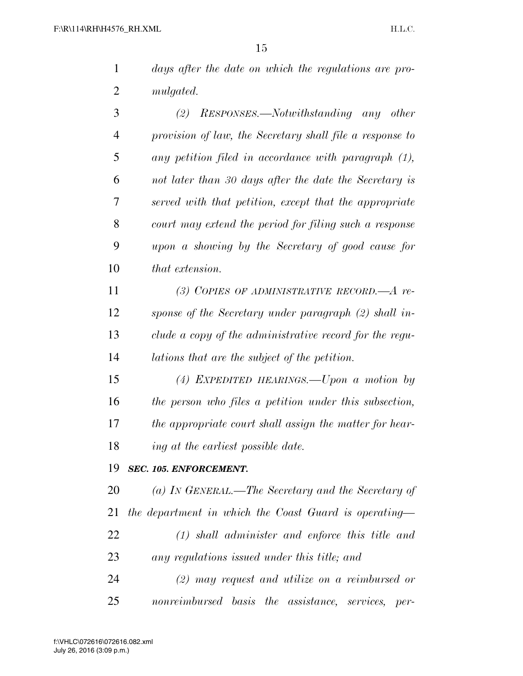|    | 15                                                       |
|----|----------------------------------------------------------|
| 1  | days after the date on which the regulations are pro-    |
| 2  | mulgated.                                                |
| 3  | RESPONSES.—Notwithstanding any other<br>(2)              |
| 4  | provision of law, the Secretary shall file a response to |
| 5  | any petition filed in accordance with paragraph (1),     |
| 6  | not later than 30 days after the date the Secretary is   |
| 7  | served with that petition, except that the appropriate   |
| 8  | court may extend the period for filing such a response   |
| 9  | upon a showing by the Secretary of good cause for        |
| 10 | that extension.                                          |
| 11 | (3) COPIES OF ADMINISTRATIVE RECORD.— $A$ re-            |
| 12 | sponse of the Secretary under paragraph (2) shall in-    |
| 13 | clude a copy of the administrative record for the regu-  |
| 14 | lations that are the subject of the petition.            |
| 15 | (4) EXPEDITED HEARINGS.—Upon a motion by                 |
| 16 | the person who files a petition under this subsection,   |
| 17 | the appropriate court shall assign the matter for hear-  |
| 18 | ing at the earliest possible date.                       |
| 19 | SEC. 105. ENFORCEMENT.                                   |
| 20 | (a) IN GENERAL.—The Secretary and the Secretary of       |
| 21 | the department in which the Coast Guard is operating—    |

 *(1) shall administer and enforce this title and any regulations issued under this title; and* 

 *(2) may request and utilize on a reimbursed or nonreimbursed basis the assistance, services, per-*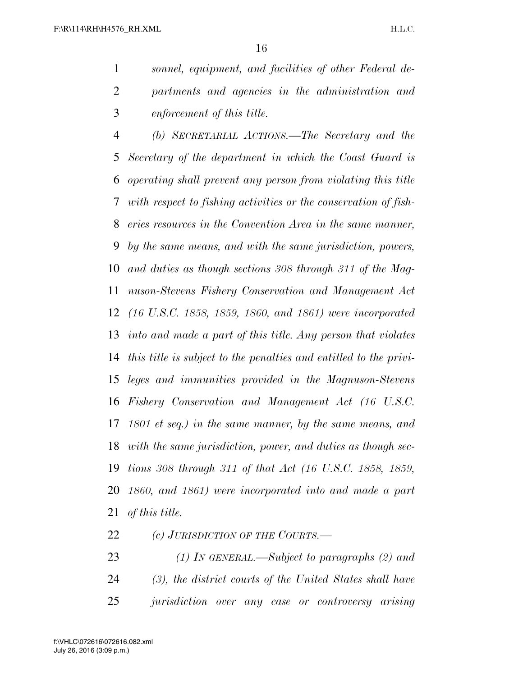*sonnel, equipment, and facilities of other Federal de- partments and agencies in the administration and enforcement of this title.* 

 *(b) SECRETARIAL ACTIONS.—The Secretary and the Secretary of the department in which the Coast Guard is operating shall prevent any person from violating this title with respect to fishing activities or the conservation of fish- eries resources in the Convention Area in the same manner, by the same means, and with the same jurisdiction, powers, and duties as though sections 308 through 311 of the Mag- nuson-Stevens Fishery Conservation and Management Act (16 U.S.C. 1858, 1859, 1860, and 1861) were incorporated into and made a part of this title. Any person that violates this title is subject to the penalties and entitled to the privi- leges and immunities provided in the Magnuson-Stevens Fishery Conservation and Management Act (16 U.S.C. 1801 et seq.) in the same manner, by the same means, and with the same jurisdiction, power, and duties as though sec- tions 308 through 311 of that Act (16 U.S.C. 1858, 1859, 1860, and 1861) were incorporated into and made a part of this title.* 

*(c) JURISDICTION OF THE COURTS.—* 

 *(1) IN GENERAL.—Subject to paragraphs (2) and (3), the district courts of the United States shall have jurisdiction over any case or controversy arising*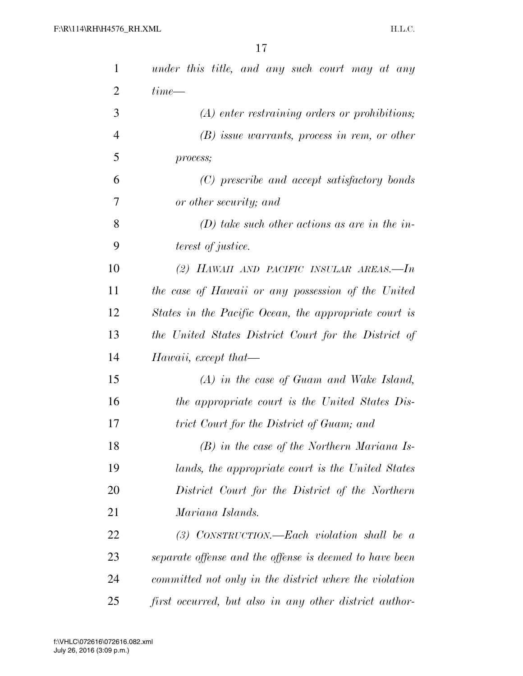| $\mathbf{1}$   | under this title, and any such court may at any         |
|----------------|---------------------------------------------------------|
| $\overline{2}$ | $time$ —                                                |
| 3              | $(A)$ enter restraining orders or prohibitions;         |
| $\overline{4}$ | $(B)$ issue warrants, process in rem, or other          |
| 5              | process;                                                |
| 6              | (C) prescribe and accept satisfactory bonds             |
| 7              | or other security; and                                  |
| 8              | $(D)$ take such other actions as are in the in-         |
| 9              | <i>terest of justice.</i>                               |
| 10             | (2) HAWAII AND PACIFIC INSULAR AREAS.—In                |
| 11             | the case of Hawaii or any possession of the United      |
| 12             | States in the Pacific Ocean, the appropriate court is   |
| 13             | the United States District Court for the District of    |
| 14             | Hawaii, except that-                                    |
| 15             | $(A)$ in the case of Guam and Wake Island,              |
| 16             | the appropriate court is the United States Dis-         |
| 17             | trict Court for the District of Guam; and               |
| 18             | $(B)$ in the case of the Northern Mariana Is-           |
| 19             | lands, the appropriate court is the United States       |
| 20             | District Court for the District of the Northern         |
| 21             | Mariana Islands.                                        |
| 22             | $(3)$ CONSTRUCTION.—Each violation shall be a           |
| 23             | separate offense and the offense is deemed to have been |
| 24             | committed not only in the district where the violation  |
| 25             | first occurred, but also in any other district author-  |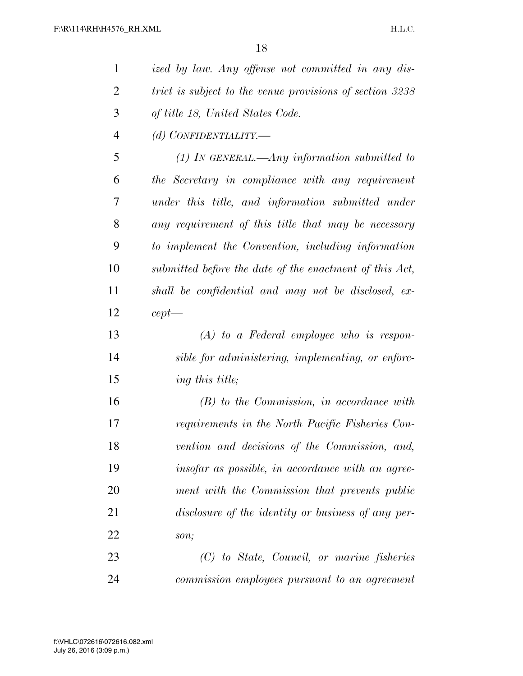| $\mathbf{1}$   | ized by law. Any offense not committed in any dis-       |
|----------------|----------------------------------------------------------|
| $\overline{2}$ | trict is subject to the venue provisions of section 3238 |
| 3              | of title 18, United States Code.                         |
| $\overline{4}$ | (d) CONFIDENTIALITY.-                                    |
| 5              | $(1)$ In GENERAL.—Any information submitted to           |
| 6              | the Secretary in compliance with any requirement         |
| 7              | under this title, and information submitted under        |
| 8              | any requirement of this title that may be necessary      |
| 9              | to implement the Convention, including information       |
| 10             | submitted before the date of the enactment of this Act,  |
| 11             | shall be confidential and may not be disclosed, ex-      |
| 12             | $cept -$                                                 |
| 13             | $(A)$ to a Federal employee who is respon-               |
| 14             | sible for administering, implementing, or enforc-        |
| 15             | ing this title;                                          |
| 16             | $(B)$ to the Commission, in accordance with              |
| 17             | requirements in the North Pacific Fisheries Con-         |
| 18             | vention and decisions of the Commission, and,            |
| 19             | insofar as possible, in accordance with an agree-        |
| 20             | ment with the Commission that prevents public            |
| 21             | disclosure of the identity or business of any per-       |
| 22             | son;                                                     |
| 23             | (C) to State, Council, or marine fisheries               |
| 24             | commission employees pursuant to an agreement            |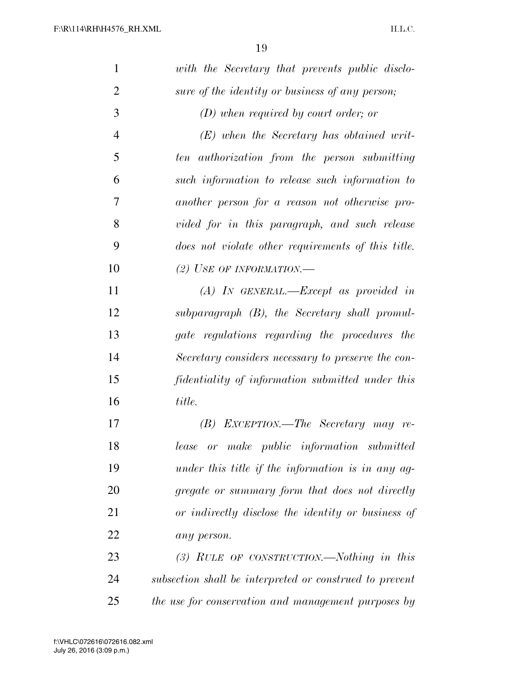| $\mathbf{1}$   | with the Secretary that prevents public disclo-         |
|----------------|---------------------------------------------------------|
| $\overline{2}$ | sure of the identity or business of any person;         |
| 3              | $(D)$ when required by court order; or                  |
| $\overline{4}$ | $(E)$ when the Secretary has obtained writ-             |
| 5              | ten authorization from the person submitting            |
| 6              | such information to release such information to         |
| 7              | another person for a reason not otherwise pro-          |
| 8              | vided for in this paragraph, and such release           |
| 9              | does not violate other requirements of this title.      |
| 10             | (2) USE OF INFORMATION.—                                |
| 11             | $(A)$ In GENERAL.—Except as provided in                 |
| 12             | $subparagnph$ (B), the Secretary shall promul-          |
| 13             | gate regulations regarding the procedures the           |
| 14             | Secretary considers necessary to preserve the con-      |
| 15             | fidentiality of information submitted under this        |
| 16             | title.                                                  |
| 17             | EXCEPTION.—The Secretary may re-<br>(B)                 |
| 18             | or make public information submitted<br>lease           |
| 19             | under this title if the information is in any ag-       |
| 20             | gregate or summary form that does not directly          |
| 21             | or indirectly disclose the identity or business of      |
| 22             | any person.                                             |
| 23             | $(3)$ RULE OF CONSTRUCTION.—Nothing in this             |
| 24             | subsection shall be interpreted or construed to prevent |
| 25             | the use for conservation and management purposes by     |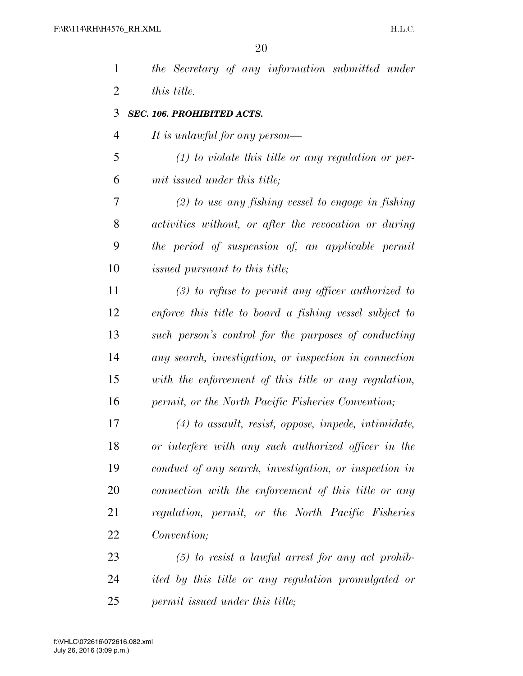| $\mathbf{1}$   | the Secretary of any information submitted under        |
|----------------|---------------------------------------------------------|
| $\overline{2}$ | this title.                                             |
| 3              | <b>SEC. 106. PROHIBITED ACTS.</b>                       |
| $\overline{4}$ | It is unlawful for any person—                          |
| 5              | $(1)$ to violate this title or any regulation or per-   |
| 6              | mit issued under this title;                            |
| 7              | $(2)$ to use any fishing vessel to engage in fishing    |
| 8              | activities without, or after the revocation or during   |
| 9              | the period of suspension of, an applicable permit       |
| 10             | <i>issued pursuant to this title;</i>                   |
| 11             | $(3)$ to refuse to permit any officer authorized to     |
| 12             | enforce this title to board a fishing vessel subject to |
| 13             | such person's control for the purposes of conducting    |
| 14             | any search, investigation, or inspection in connection  |
| 15             | with the enforcement of this title or any regulation,   |
| 16             | permit, or the North Pacific Fisheries Convention;      |
| 17             | $(4)$ to assault, resist, oppose, impede, intimidate,   |
| 18             | or interfere with any such authorized officer in the    |
| 19             | conduct of any search, investigation, or inspection in  |
| 20             | connection with the enforcement of this title or any    |
| 21             | regulation, permit, or the North Pacific Fisheries      |
| 22             | Convention;                                             |
| 23             | $(5)$ to resist a lawful arrest for any act prohib-     |
| 24             | ited by this title or any regulation promulgated or     |
| 25             | permit issued under this title;                         |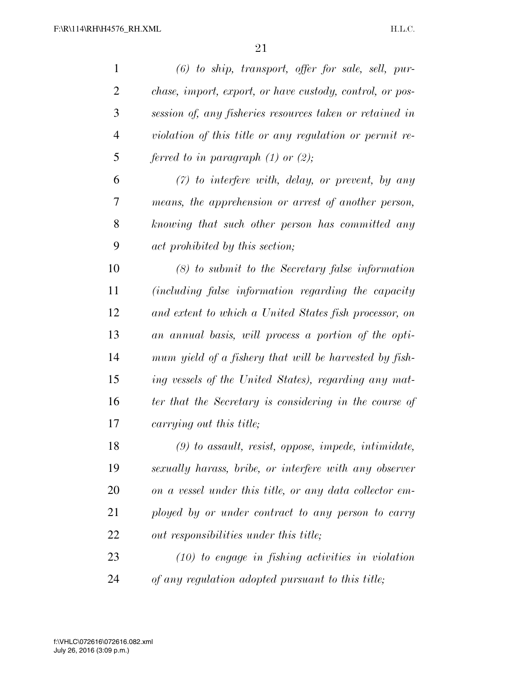| $\mathbf{1}$   | $(6)$ to ship, transport, offer for sale, sell, pur-     |
|----------------|----------------------------------------------------------|
| $\overline{2}$ | chase, import, export, or have custody, control, or pos- |
| 3              | session of, any fisheries resources taken or retained in |
| $\overline{4}$ | violation of this title or any regulation or permit re-  |
| 5              | ferred to in paragraph $(1)$ or $(2)$ ;                  |
| 6              | $(7)$ to interfere with, delay, or prevent, by any       |
| 7              | means, the apprehension or arrest of another person,     |
| 8              | knowing that such other person has committed any         |
| 9              | act prohibited by this section;                          |
| 10             | $(8)$ to submit to the Secretary false information       |
| 11             | (including false information regarding the capacity      |
| 12             | and extent to which a United States fish processor, on   |
| 13             | an annual basis, will process a portion of the opti-     |
| 14             | mum yield of a fishery that will be harvested by fish-   |
| 15             | ing vessels of the United States), regarding any mat-    |
| 16             | ter that the Secretary is considering in the course of   |
| 17             | carrying out this title;                                 |
| 18             | $(9)$ to assault, resist, oppose, impede, intimidate,    |
| 19             | sexually harass, bribe, or interfere with any observer   |
| 20             | on a vessel under this title, or any data collector em-  |
| 21             | ployed by or under contract to any person to carry       |
| 22             | out responsibilities under this title;                   |
| 23             | $(10)$ to engage in fishing activities in violation      |
| 24             | of any regulation adopted pursuant to this title;        |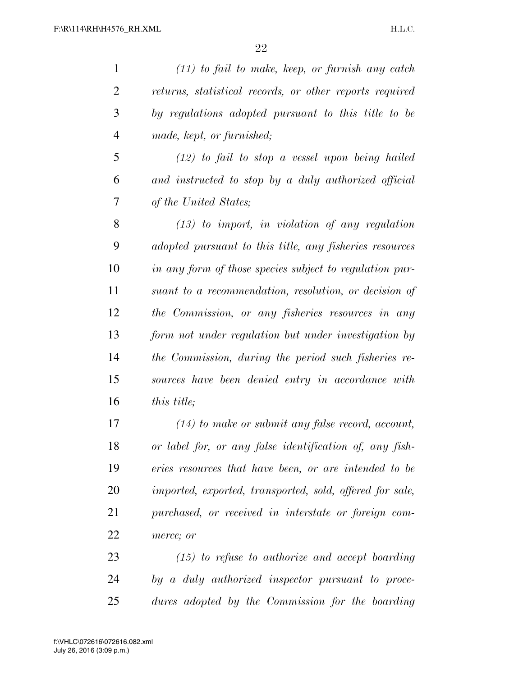| $\mathbf{1}$   | $(11)$ to fail to make, keep, or furnish any catch       |
|----------------|----------------------------------------------------------|
| $\overline{2}$ | returns, statistical records, or other reports required  |
| 3              | by regulations adopted pursuant to this title to be      |
| $\overline{4}$ | made, kept, or furnished;                                |
| 5              | $(12)$ to fail to stop a vessel upon being hailed        |
| 6              | and instructed to stop by a duly authorized official     |
| 7              | of the United States;                                    |
| 8              | $(13)$ to import, in violation of any regulation         |
| 9              | adopted pursuant to this title, any fisheries resources  |
| 10             | in any form of those species subject to regulation pur-  |
| 11             | suant to a recommendation, resolution, or decision of    |
| 12             | the Commission, or any fisheries resources in any        |
| 13             | form not under regulation but under investigation by     |
| 14             | the Commission, during the period such fisheries re-     |
| 15             | sources have been denied entry in accordance with        |
| 16             | this title;                                              |
| 17             | $(14)$ to make or submit any false record, account,      |
| 18             | or label for, or any false identification of, any fish-  |
| 19             | eries resources that have been, or are intended to be    |
| 20             | imported, exported, transported, sold, offered for sale, |
| 21             | purchased, or received in interstate or foreign com-     |
| 22             | merce; or                                                |
| 23             | $(15)$ to refuse to authorize and accept boarding        |
| 24             | by a duly authorized inspector pursuant to proce-        |

*dures adopted by the Commission for the boarding*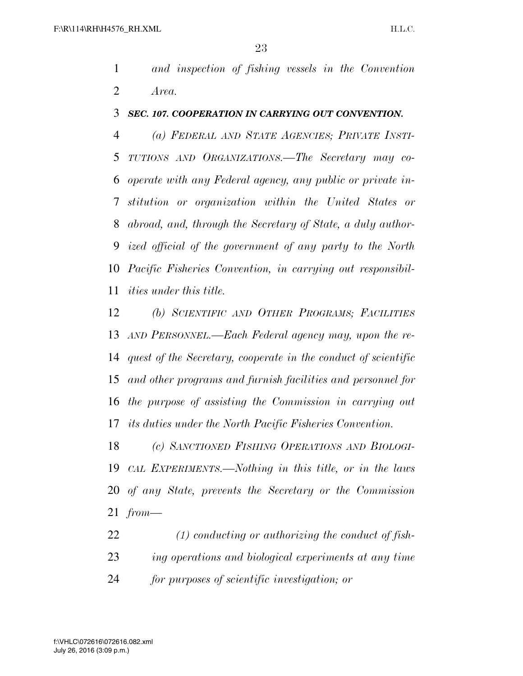*and inspection of fishing vessels in the Convention Area.* 

#### *SEC. 107. COOPERATION IN CARRYING OUT CONVENTION.*

 *(a) FEDERAL AND STATE AGENCIES; PRIVATE INSTI- TUTIONS AND ORGANIZATIONS.—The Secretary may co- operate with any Federal agency, any public or private in- stitution or organization within the United States or abroad, and, through the Secretary of State, a duly author- ized official of the government of any party to the North Pacific Fisheries Convention, in carrying out responsibil-ities under this title.* 

 *(b) SCIENTIFIC AND OTHER PROGRAMS; FACILITIES AND PERSONNEL.—Each Federal agency may, upon the re- quest of the Secretary, cooperate in the conduct of scientific and other programs and furnish facilities and personnel for the purpose of assisting the Commission in carrying out its duties under the North Pacific Fisheries Convention.* 

 *(c) SANCTIONED FISHING OPERATIONS AND BIOLOGI- CAL EXPERIMENTS.—Nothing in this title, or in the laws of any State, prevents the Secretary or the Commission from—* 

 *(1) conducting or authorizing the conduct of fish- ing operations and biological experiments at any time for purposes of scientific investigation; or*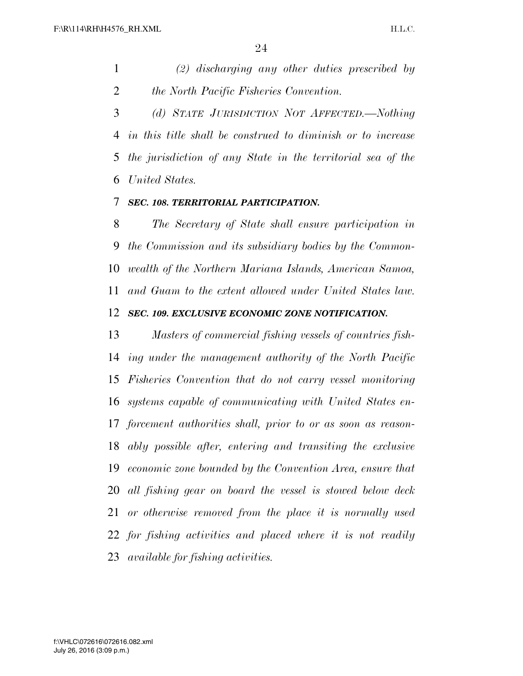*(2) discharging any other duties prescribed by the North Pacific Fisheries Convention.* 

 *(d) STATE JURISDICTION NOT AFFECTED.—Nothing in this title shall be construed to diminish or to increase the jurisdiction of any State in the territorial sea of the United States.* 

#### *SEC. 108. TERRITORIAL PARTICIPATION.*

 *The Secretary of State shall ensure participation in the Commission and its subsidiary bodies by the Common- wealth of the Northern Mariana Islands, American Samoa, and Guam to the extent allowed under United States law. SEC. 109. EXCLUSIVE ECONOMIC ZONE NOTIFICATION.* 

 *Masters of commercial fishing vessels of countries fish- ing under the management authority of the North Pacific Fisheries Convention that do not carry vessel monitoring systems capable of communicating with United States en- forcement authorities shall, prior to or as soon as reason- ably possible after, entering and transiting the exclusive economic zone bounded by the Convention Area, ensure that all fishing gear on board the vessel is stowed below deck or otherwise removed from the place it is normally used for fishing activities and placed where it is not readily available for fishing activities.*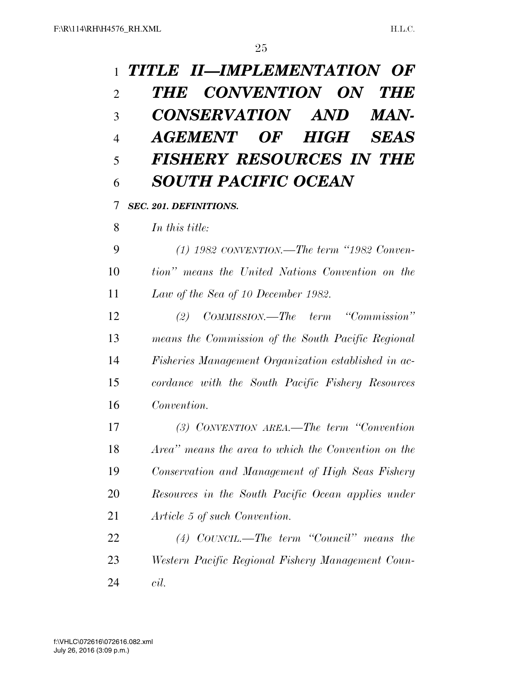| $\mathbf{1}$   | TITLE II—IMPLEMENTATION OF                           |
|----------------|------------------------------------------------------|
| $\overline{2}$ | THE CONVENTION ON THE                                |
| 3              | CONSERVATION AND<br><i><b>MAN-</b></i>               |
| $\overline{4}$ | AGEMENT OF HIGH SEAS                                 |
| 5              | <b>FISHERY RESOURCES IN THE</b>                      |
| 6              | <b>SOUTH PACIFIC OCEAN</b>                           |
| 7              | <b>SEC. 201. DEFINITIONS.</b>                        |
| 8              | In this title:                                       |
| 9              | $(1)$ 1982 CONVENTION.—The term "1982 Conven-        |
| 10             | tion" means the United Nations Convention on the     |
| 11             | Law of the Sea of 10 December 1982.                  |
| 12             | COMMISSION.—The term "Commission"<br>(2)             |
| 13             | means the Commission of the South Pacific Regional   |
| 14             | Fisheries Management Organization established in ac- |
| 15             | cordance with the South Pacific Fishery Resources    |
| 16             | Convention.                                          |
| 17             | (3) CONVENTION AREA.—The term "Convention"           |
| 18             | Area" means the area to which the Convention on the  |
| 19             | Conservation and Management of High Seas Fishery     |
| 20             | Resources in the South Pacific Ocean applies under   |
| 21             | Article 5 of such Convention.                        |
| 22             | $(4)$ COUNCIL.—The term "Council" means the          |
| 23             | Western Pacific Regional Fishery Management Coun-    |
| 24             | cil.                                                 |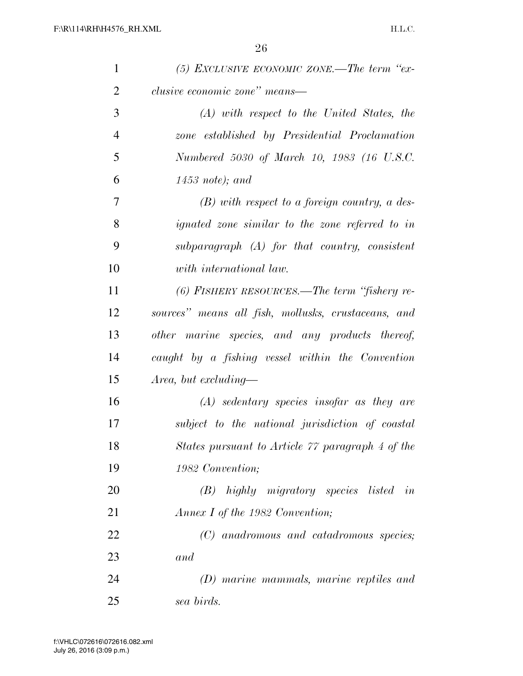| $\mathbf{1}$   | $(5)$ EXCLUSIVE ECONOMIC ZONE.—The term "ex-           |
|----------------|--------------------------------------------------------|
| $\overline{2}$ | clusive economic zone" means—                          |
| 3              | $(A)$ with respect to the United States, the           |
| $\overline{4}$ | zone established by Presidential Proclamation          |
| 5              | Numbered 5030 of March 10, 1983 (16 U.S.C.             |
| 6              | $1453$ note); and                                      |
| 7              | $(B)$ with respect to a foreign country, a des-        |
| 8              | <i>ignated zone similar to the zone referred to in</i> |
| 9              | subparagraph $(A)$ for that country, consistent        |
| 10             | with international law.                                |
| 11             | $(6)$ FISHERY RESOURCES.—The term "fishery re-         |
| 12             | sources" means all fish, mollusks, crustaceans, and    |
| 13             | other marine species, and any products thereof,        |
| 14             | caught by a fishing vessel within the Convention       |
| 15             | Area, but excluding—                                   |
| 16             | $(A)$ sedentary species insofar as they are            |
| 17             | subject to the national jurisdiction of coastal        |
| 18             | States pursuant to Article 77 paragraph 4 of the       |
| 19             | 1982 Convention;                                       |
| 20             | (B) highly migratory species listed in                 |
| 21             | Annex I of the 1982 Convention;                        |
| 22             | (C) anadromous and catadromous species;                |
| 23             | and                                                    |
| 24             | (D) marine mammals, marine reptiles and                |
| 25             | sea birds.                                             |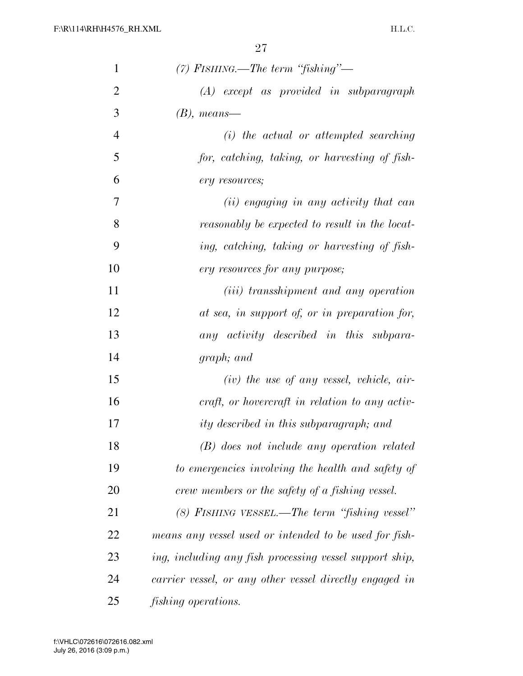| $\mathbf{1}$   | $(7)$ FISHING.—The term "fishing"—                      |
|----------------|---------------------------------------------------------|
| $\overline{2}$ | $(A)$ except as provided in subparagraph                |
| 3              | $(B)$ , means—                                          |
| $\overline{4}$ | $(i)$ the actual or attempted searching                 |
| 5              | for, catching, taking, or harvesting of fish-           |
| 6              | ery resources;                                          |
| 7              | (ii) engaging in any activity that can                  |
| 8              | reasonably be expected to result in the locat-          |
| 9              | ing, catching, taking or harvesting of fish-            |
| 10             | ery resources for any purpose;                          |
| 11             | ( <i>iii</i> ) transshipment and any operation          |
| 12             | at sea, in support of, or in preparation for,           |
| 13             | any activity described in this subpara-                 |
| 14             | graph; and                                              |
| 15             | $(iv)$ the use of any vessel, vehicle, air-             |
| 16             | craft, or hovercraft in relation to any activ-          |
| 17             | ity described in this subparagraph; and                 |
| 18             | (B) does not include any operation related              |
| 19             | to emergencies involving the health and safety of       |
| 20             | crew members or the safety of a fishing vessel.         |
| 21             | $(8)$ FISHING VESSEL.—The term "fishing vessel"         |
| 22             | means any vessel used or intended to be used for fish-  |
| 23             | ing, including any fish processing vessel support ship, |
| 24             | carrier vessel, or any other vessel directly engaged in |
| 25             | <i>fishing operations.</i>                              |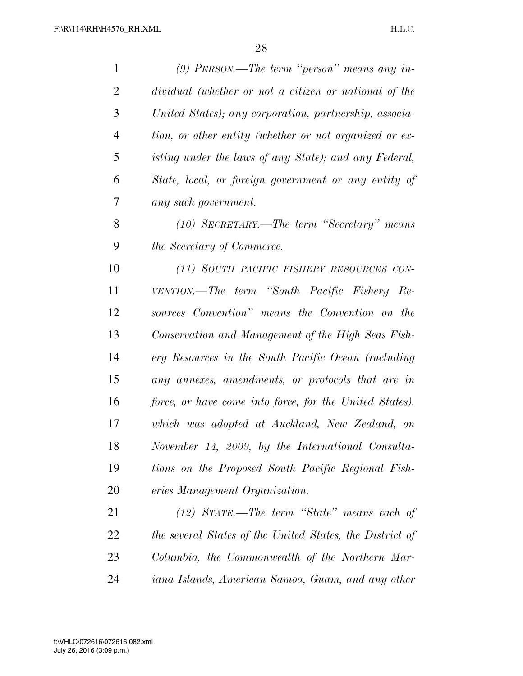| $\mathbf{1}$   | $(9)$ PERSON.—The term "person" means any in-            |
|----------------|----------------------------------------------------------|
| $\overline{2}$ | dividual (whether or not a citizen or national of the    |
| 3              | United States); any corporation, partnership, associa-   |
| $\overline{4}$ | tion, or other entity (whether or not organized or ex-   |
| 5              | isting under the laws of any State); and any Federal,    |
| 6              | State, local, or foreign government or any entity of     |
| 7              | any such government.                                     |
| 8              | $(10)$ SECRETARY.—The term "Secretary" means             |
| 9              | <i>the Secretary of Commerce.</i>                        |
| 10             | (11) SOUTH PACIFIC FISHERY RESOURCES CON-                |
| 11             | VENTION.—The term "South Pacific Fishery Re-             |
| 12             | sources Convention" means the Convention on the          |
| 13             | Conservation and Management of the High Seas Fish-       |
| 14             | ery Resources in the South Pacific Ocean (including      |
| 15             | any annexes, amendments, or protocols that are in        |
| 16             | force, or have come into force, for the United States),  |
| 17             | which was adopted at Auckland, New Zealand, on           |
| 18             | November 14, 2009, by the International Consulta-        |
| 19             | tions on the Proposed South Pacific Regional Fish-       |
| 20             | eries Management Organization.                           |
| 21             | $(12)$ STATE.—The term "State" means each of             |
| 22             | the several States of the United States, the District of |
| 23             | Columbia, the Commonwealth of the Northern Mar-          |
| 24             | iana Islands, American Samoa, Guam, and any other        |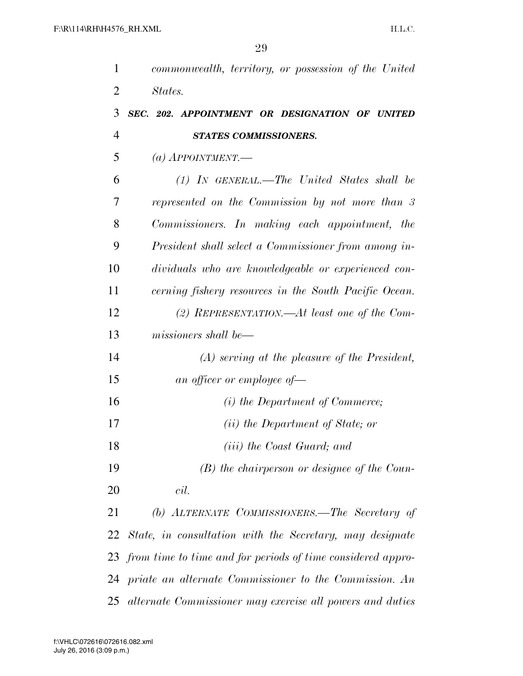| 1              | commonwealth, territory, or possession of the United        |
|----------------|-------------------------------------------------------------|
| $\overline{2}$ | States.                                                     |
| 3              | SEC. 202. APPOINTMENT OR DESIGNATION OF UNITED              |
| 4              | <b>STATES COMMISSIONERS.</b>                                |
| 5              | $(a)$ APPOINTMENT.                                          |
| 6              | $(1)$ IN GENERAL.—The United States shall be                |
| 7              | represented on the Commission by not more than 3            |
| 8              | Commissioners. In making each appointment, the              |
| 9              | President shall select a Commissioner from among in-        |
| 10             | dividuals who are knowledgeable or experienced con-         |
| 11             | cerning fishery resources in the South Pacific Ocean.       |
| 12             | (2) REPRESENTATION.—At least one of the Com-                |
| 13             | missioners shall be—                                        |
| 14             | $(A)$ serving at the pleasure of the President,             |
| 15             | an officer or employee of-                                  |
| 16             | (i) the Department of Commerce;                             |
| 17             | ( <i>ii</i> ) the Department of State; or                   |
| 18             | <i>(iii)</i> the Coast Guard; and                           |
| 19             | $(B)$ the chairperson or designee of the Coun-              |
| 20             | cil.                                                        |
| 21             | (b) ALTERNATE COMMISSIONERS.—The Secretary of               |
|                | 22 State, in consultation with the Secretary, may designate |
| 23             | from time to time and for periods of time considered appro- |
| 24             | priate an alternate Commissioner to the Commission. An      |
| 25             | alternate Commissioner may exercise all powers and duties   |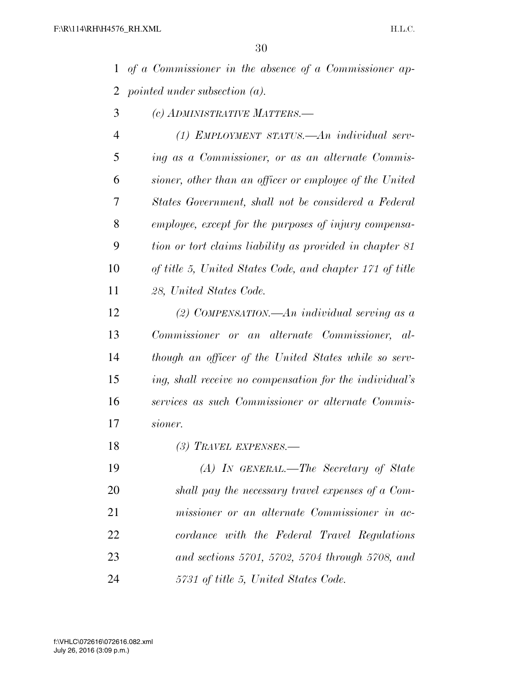*of a Commissioner in the absence of a Commissioner ap-pointed under subsection (a).* 

*(c) ADMINISTRATIVE MATTERS.—* 

 *(1) EMPLOYMENT STATUS.—An individual serv- ing as a Commissioner, or as an alternate Commis- sioner, other than an officer or employee of the United States Government, shall not be considered a Federal employee, except for the purposes of injury compensa- tion or tort claims liability as provided in chapter 81 of title 5, United States Code, and chapter 171 of title 28, United States Code.* 

 *(2) COMPENSATION.—An individual serving as a Commissioner or an alternate Commissioner, al- though an officer of the United States while so serv- ing, shall receive no compensation for the individual's services as such Commissioner or alternate Commis-sioner.* 

*(3) TRAVEL EXPENSES.—* 

 *(A) IN GENERAL.—The Secretary of State shall pay the necessary travel expenses of a Com- missioner or an alternate Commissioner in ac- cordance with the Federal Travel Regulations and sections 5701, 5702, 5704 through 5708, and 5731 of title 5, United States Code.*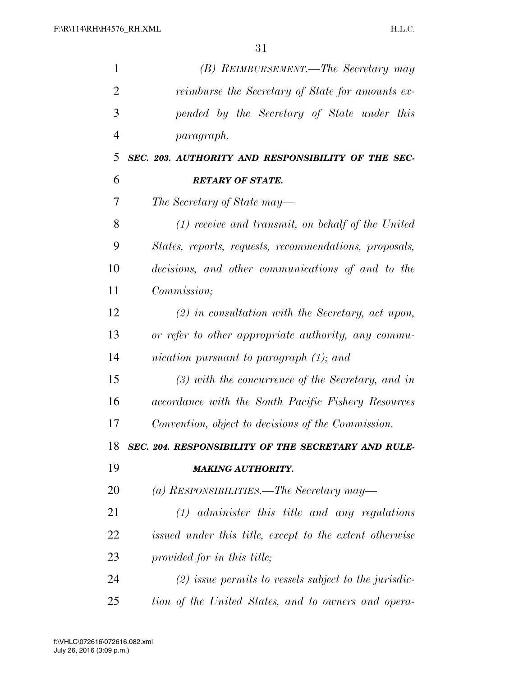| $\mathbf{1}$   | (B) REIMBURSEMENT.—The Secretary may                    |
|----------------|---------------------------------------------------------|
| $\overline{2}$ | reimburse the Secretary of State for amounts ex-        |
| 3              | pended by the Secretary of State under this             |
| $\overline{4}$ | paragraph.                                              |
| 5              | SEC. 203. AUTHORITY AND RESPONSIBILITY OF THE SEC-      |
| 6              | <b>RETARY OF STATE.</b>                                 |
| 7              | The Secretary of State may—                             |
| 8              | $(1)$ receive and transmit, on behalf of the United     |
| 9              | States, reports, requests, recommendations, proposals,  |
| 10             | decisions, and other communications of and to the       |
| 11             | Commission;                                             |
| 12             | $(2)$ in consultation with the Secretary, act upon,     |
| 13             | or refer to other appropriate authority, any commu-     |
| 14             | nication pursuant to paragraph (1); and                 |
| 15             | $(3)$ with the concurrence of the Secretary, and in     |
| 16             | accordance with the South Pacific Fishery Resources     |
| 17             | Convention, object to decisions of the Commission.      |
| 18             | SEC. 204. RESPONSIBILITY OF THE SECRETARY AND RULE-     |
| 19             | <b>MAKING AUTHORITY.</b>                                |
| 20             | (a) RESPONSIBILITIES.—The Secretary may—                |
| 21             | $(1)$ administer this title and any regulations         |
| 22             | issued under this title, except to the extent otherwise |
| 23             | provided for in this title;                             |
| 24             | $(2)$ issue permits to vessels subject to the jurisdic- |
| 25             | tion of the United States, and to owners and opera-     |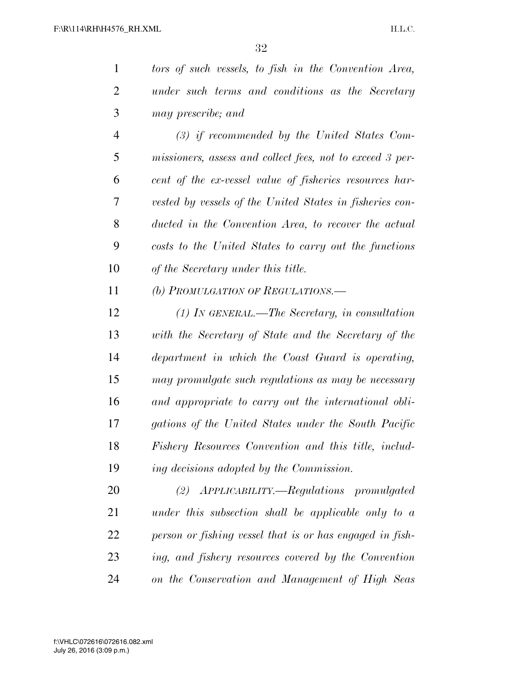| 1 | tors of such vessels, to fish in the Convention Area, |
|---|-------------------------------------------------------|
| 2 | under such terms and conditions as the Secretary      |
| 3 | <i>may prescribe; and</i>                             |

 *(3) if recommended by the United States Com- missioners, assess and collect fees, not to exceed 3 per- cent of the ex-vessel value of fisheries resources har- vested by vessels of the United States in fisheries con- ducted in the Convention Area, to recover the actual costs to the United States to carry out the functions of the Secretary under this title.* 

*(b) PROMULGATION OF REGULATIONS.—* 

 *(1) IN GENERAL.—The Secretary, in consultation with the Secretary of State and the Secretary of the department in which the Coast Guard is operating, may promulgate such regulations as may be necessary and appropriate to carry out the international obli- gations of the United States under the South Pacific Fishery Resources Convention and this title, includ-ing decisions adopted by the Commission.* 

 *(2) APPLICABILITY.—Regulations promulgated under this subsection shall be applicable only to a person or fishing vessel that is or has engaged in fish- ing, and fishery resources covered by the Convention on the Conservation and Management of High Seas*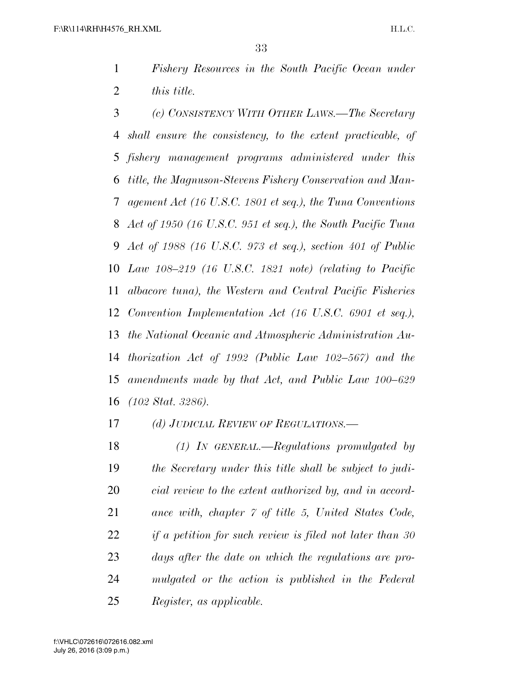*Fishery Resources in the South Pacific Ocean under this title.* 

 *(c) CONSISTENCY WITH OTHER LAWS.—The Secretary shall ensure the consistency, to the extent practicable, of fishery management programs administered under this title, the Magnuson-Stevens Fishery Conservation and Man- agement Act (16 U.S.C. 1801 et seq.), the Tuna Conventions Act of 1950 (16 U.S.C. 951 et seq.), the South Pacific Tuna Act of 1988 (16 U.S.C. 973 et seq.), section 401 of Public Law 108–219 (16 U.S.C. 1821 note) (relating to Pacific albacore tuna), the Western and Central Pacific Fisheries Convention Implementation Act (16 U.S.C. 6901 et seq.), the National Oceanic and Atmospheric Administration Au- thorization Act of 1992 (Public Law 102–567) and the amendments made by that Act, and Public Law 100–629 (102 Stat. 3286).* 

*(d) JUDICIAL REVIEW OF REGULATIONS.—* 

 *(1) IN GENERAL.—Regulations promulgated by the Secretary under this title shall be subject to judi- cial review to the extent authorized by, and in accord- ance with, chapter 7 of title 5, United States Code, if a petition for such review is filed not later than 30 days after the date on which the regulations are pro- mulgated or the action is published in the Federal Register, as applicable.*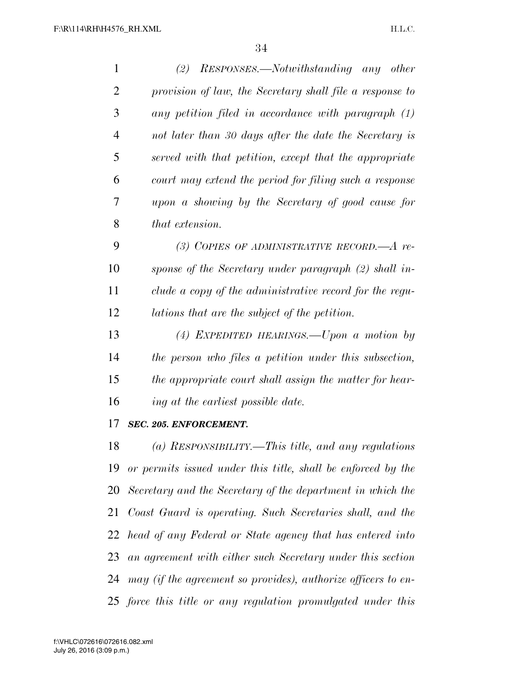| 1              | $(2)$ RESPONSES.—Notwithstanding any other                   |
|----------------|--------------------------------------------------------------|
| $\overline{2}$ | provision of law, the Secretary shall file a response to     |
| 3              | any petition filed in accordance with paragraph (1)          |
| $\overline{4}$ | not later than 30 days after the date the Secretary is       |
| 5              | served with that petition, except that the appropriate       |
| 6              | court may extend the period for filing such a response       |
| 7              | upon a showing by the Secretary of good cause for            |
| 8              | that extension.                                              |
| 9              | (3) COPIES OF ADMINISTRATIVE RECORD.— $A$ re-                |
| 10             | sponse of the Secretary under paragraph (2) shall in-        |
| 11             | clude a copy of the administrative record for the regu-      |
| 12             | lations that are the subject of the petition.                |
| 13             | (4) EXPEDITED HEARINGS. - Upon a motion by                   |
| 14             | the person who files a petition under this subsection,       |
| 15             | the appropriate court shall assign the matter for hear-      |
| 16             | ing at the earliest possible date.                           |
| 17             | SEC. 205. ENFORCEMENT.                                       |
| 18             | (a) RESPONSIBILITY.—This title, and any regulations          |
| 19             | or permits issued under this title, shall be enforced by the |
| 20             | Secretary and the Secretary of the department in which the   |
| 21             | Coast Guard is operating. Such Secretaries shall, and the    |
| 22             | head of any Federal or State agency that has entered into    |
| 23             | an agreement with either such Secretary under this section   |

*may (if the agreement so provides), authorize officers to en-*

*force this title or any regulation promulgated under this*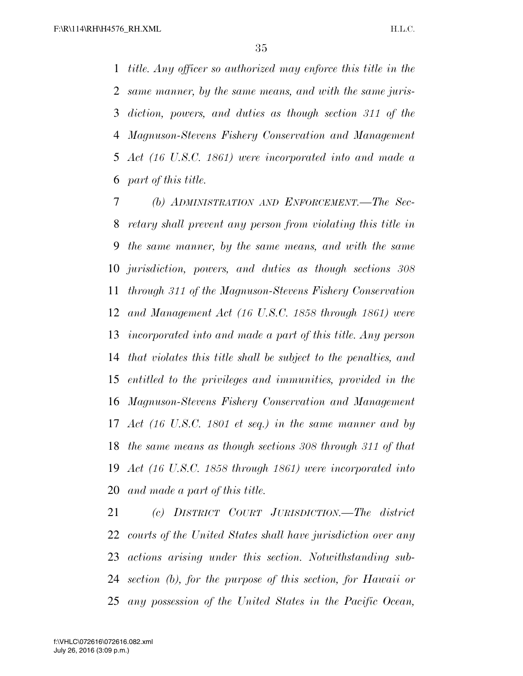*title. Any officer so authorized may enforce this title in the same manner, by the same means, and with the same juris- diction, powers, and duties as though section 311 of the Magnuson-Stevens Fishery Conservation and Management Act (16 U.S.C. 1861) were incorporated into and made a part of this title.* 

 *(b) ADMINISTRATION AND ENFORCEMENT.—The Sec- retary shall prevent any person from violating this title in the same manner, by the same means, and with the same jurisdiction, powers, and duties as though sections 308 through 311 of the Magnuson-Stevens Fishery Conservation and Management Act (16 U.S.C. 1858 through 1861) were incorporated into and made a part of this title. Any person that violates this title shall be subject to the penalties, and entitled to the privileges and immunities, provided in the Magnuson-Stevens Fishery Conservation and Management Act (16 U.S.C. 1801 et seq.) in the same manner and by the same means as though sections 308 through 311 of that Act (16 U.S.C. 1858 through 1861) were incorporated into and made a part of this title.* 

 *(c) DISTRICT COURT JURISDICTION.—The district courts of the United States shall have jurisdiction over any actions arising under this section. Notwithstanding sub- section (b), for the purpose of this section, for Hawaii or any possession of the United States in the Pacific Ocean,*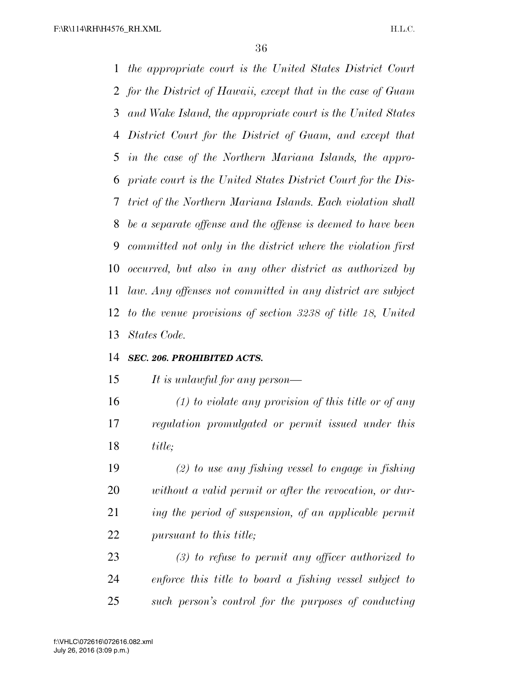*the appropriate court is the United States District Court for the District of Hawaii, except that in the case of Guam and Wake Island, the appropriate court is the United States District Court for the District of Guam, and except that in the case of the Northern Mariana Islands, the appro- priate court is the United States District Court for the Dis- trict of the Northern Mariana Islands. Each violation shall be a separate offense and the offense is deemed to have been committed not only in the district where the violation first occurred, but also in any other district as authorized by law. Any offenses not committed in any district are subject to the venue provisions of section 3238 of title 18, United States Code.* 

#### *SEC. 206. PROHIBITED ACTS.*

*It is unlawful for any person—* 

 *(1) to violate any provision of this title or of any regulation promulgated or permit issued under this title;* 

 *(2) to use any fishing vessel to engage in fishing without a valid permit or after the revocation, or dur- ing the period of suspension, of an applicable permit pursuant to this title;* 

 *(3) to refuse to permit any officer authorized to enforce this title to board a fishing vessel subject to such person's control for the purposes of conducting*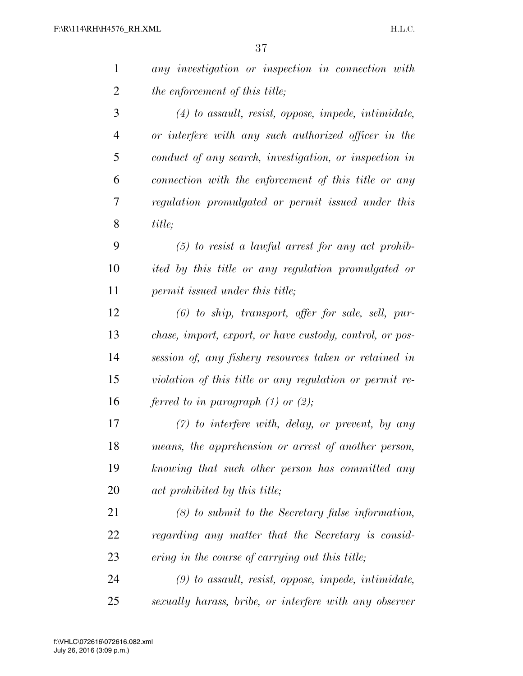| 1              | any investigation or inspection in connection with              |
|----------------|-----------------------------------------------------------------|
| $\overline{2}$ | the enforcement of this title;                                  |
| 3              | $(4)$ to assault, resist, oppose, impede, intimidate,           |
| $\overline{4}$ | or interfere with any such authorized officer in the            |
| 5              | conduct of any search, investigation, or inspection in          |
| 6              | connection with the enforcement of this title or any            |
| 7              | regulation promulgated or permit issued under this              |
| 8              | title;                                                          |
| 9              | $(5)$ to resist a lawful arrest for any act prohib-             |
| 10             | ited by this title or any regulation promulgated or             |
| 11             | permit issued under this title;                                 |
| 12             | $(6)$ to ship, transport, offer for sale, sell, pur-            |
| 13             | <i>chase, import, export, or have custody, control, or pos-</i> |
| 14             | session of, any fishery resources taken or retained in          |
| 15             | violation of this title or any regulation or permit re-         |
| 16             | ferred to in paragraph $(1)$ or $(2)$ ;                         |
| 17             | $(7)$ to interfere with, delay, or prevent, by any              |
| 18             | means, the apprehension or arrest of another person,            |
| 19             | knowing that such other person has committed any                |
| 20             | act prohibited by this title;                                   |
| 21             | $(8)$ to submit to the Secretary false information,             |
| 22             | regarding any matter that the Secretary is consid-              |
| 23             | ering in the course of carrying out this title;                 |
| 24             | $(9)$ to assault, resist, oppose, impede, intimidate,           |
| 25             | sexually harass, bribe, or interfere with any observer          |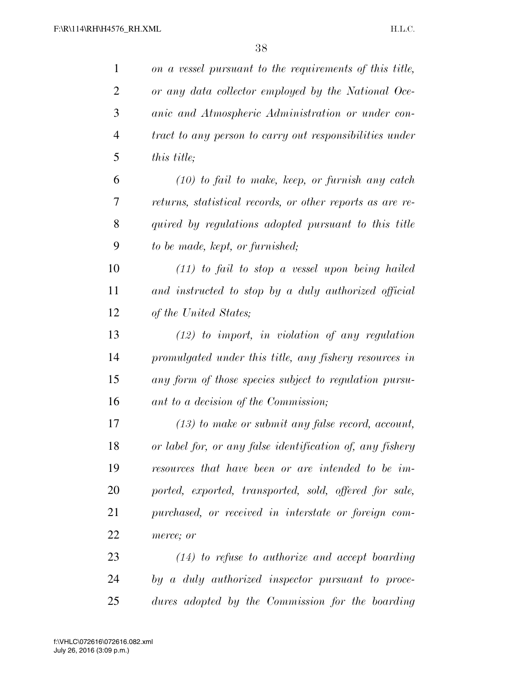| $\mathbf{1}$   | on a vessel pursuant to the requirements of this title,   |
|----------------|-----------------------------------------------------------|
| $\overline{2}$ | or any data collector employed by the National Oce-       |
| 3              | anic and Atmospheric Administration or under con-         |
| 4              | tract to any person to carry out responsibilities under   |
| 5              | this title;                                               |
| 6              | $(10)$ to fail to make, keep, or furnish any catch        |
| 7              | returns, statistical records, or other reports as are re- |
| 8              | quired by regulations adopted pursuant to this title      |
| 9              | to be made, kept, or furnished;                           |
| 10             | $(11)$ to fail to stop a vessel upon being hailed         |
| 11             | and instructed to stop by a duly authorized official      |
| 12             | of the United States;                                     |
| 13             | $(12)$ to import, in violation of any regulation          |
| 14             | promulgated under this title, any fishery resources in    |
| 15             | any form of those species subject to regulation pursu-    |
| 16             | ant to a decision of the Commission;                      |
| 17             | $(13)$ to make or submit any false record, account,       |
| 18             | or label for, or any false identification of, any fishery |
| 19             | resources that have been or are intended to be im-        |
| 20             | ported, exported, transported, sold, offered for sale,    |
| 21             | purchased, or received in interstate or foreign com-      |
| 22             | merce; or                                                 |
| 23             | $(14)$ to refuse to authorize and accept boarding         |
| 24             | by a duly authorized inspector pursuant to proce-         |
| 25             | dures adopted by the Commission for the boarding          |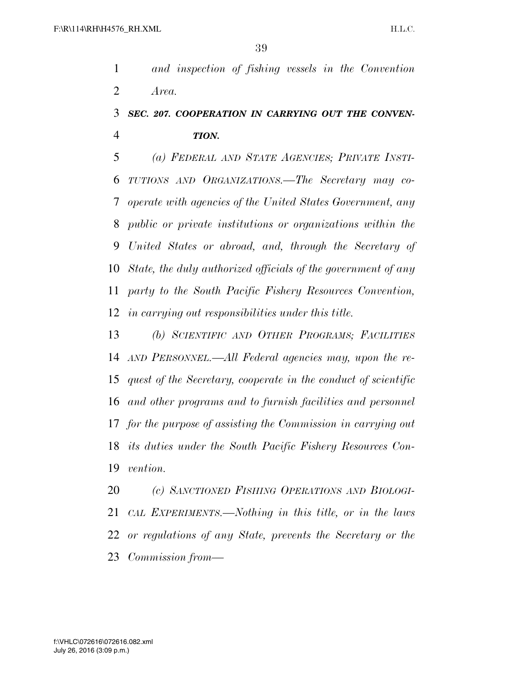*and inspection of fishing vessels in the Convention Area.* 

### *SEC. 207. COOPERATION IN CARRYING OUT THE CONVEN-TION.*

 *(a) FEDERAL AND STATE AGENCIES; PRIVATE INSTI- TUTIONS AND ORGANIZATIONS.—The Secretary may co- operate with agencies of the United States Government, any public or private institutions or organizations within the United States or abroad, and, through the Secretary of State, the duly authorized officials of the government of any party to the South Pacific Fishery Resources Convention, in carrying out responsibilities under this title.* 

 *(b) SCIENTIFIC AND OTHER PROGRAMS; FACILITIES AND PERSONNEL.—All Federal agencies may, upon the re- quest of the Secretary, cooperate in the conduct of scientific and other programs and to furnish facilities and personnel for the purpose of assisting the Commission in carrying out its duties under the South Pacific Fishery Resources Con-vention.* 

 *(c) SANCTIONED FISHING OPERATIONS AND BIOLOGI- CAL EXPERIMENTS.—Nothing in this title, or in the laws or regulations of any State, prevents the Secretary or the Commission from—*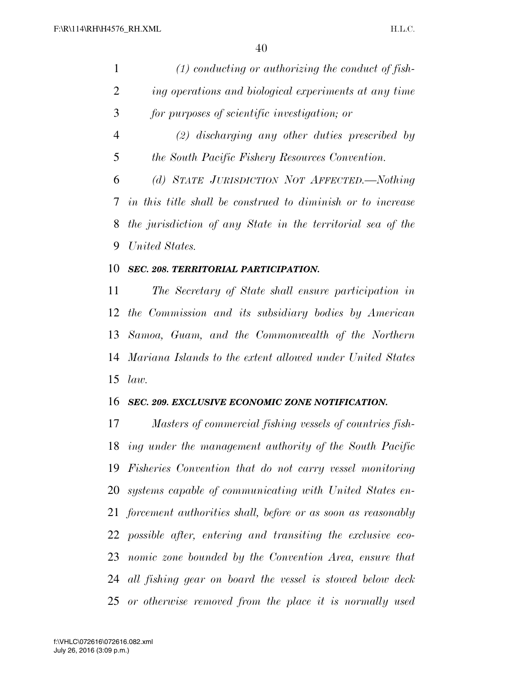| $\mathbf{1}$   | $(1)$ conducting or authorizing the conduct of fish-            |
|----------------|-----------------------------------------------------------------|
| $\overline{2}$ | ing operations and biological experiments at any time           |
| 3              | for purposes of scientific investigation; or                    |
| $\overline{4}$ | $(2)$ discharging any other duties prescribed by                |
| 5              | the South Pacific Fishery Resources Convention.                 |
| 6              | (d) STATE JURISDICTION NOT AFFECTED.—Nothing                    |
| 7              | in this title shall be construed to diminish or to increase     |
| 8              | the jurisdiction of any State in the territorial sea of the     |
| 9              | United States.                                                  |
| 10             | SEC. 208. TERRITORIAL PARTICIPATION.                            |
| 11             | The Secretary of State shall ensure participation in            |
| 12             | the Commission and its subsidiary bodies by American            |
| 13             | Samoa, Guam, and the Commonwealth of the Northern               |
| 14             | Mariana Islands to the extent allowed under United States       |
| 15             | law.                                                            |
| 16             | SEC. 209. EXCLUSIVE ECONOMIC ZONE NOTIFICATION.                 |
| 17             | Masters of commercial fishing vessels of countries fish-        |
| 18             | ing under the management authority of the South Pacific         |
| 19             | Fisheries Convention that do not carry vessel monitoring        |
| 20             | systems capable of communicating with United States en-         |
|                | 21 forcement authorities shall, before or as soon as reasonably |
| 22             | possible after, entering and transiting the exclusive eco-      |
| 23             | nomic zone bounded by the Convention Area, ensure that          |
| 24             | all fishing gear on board the vessel is stowed below deck       |
|                | 25 or otherwise removed from the place it is normally used      |
|                |                                                                 |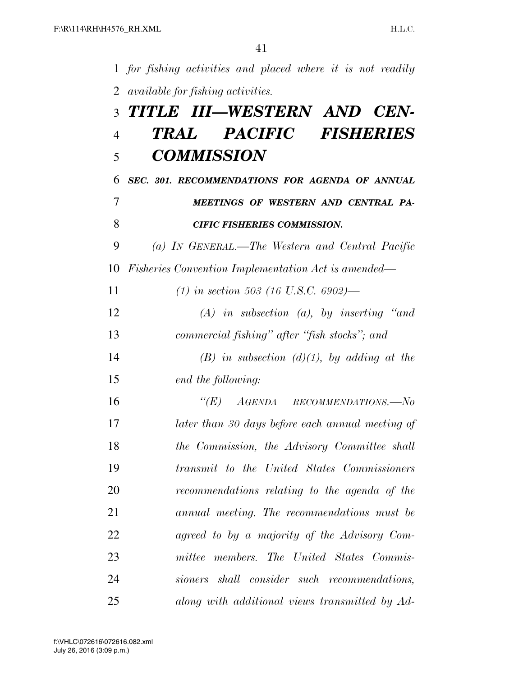|                | 1 for fishing activities and placed where it is not readily |
|----------------|-------------------------------------------------------------|
| 2              | available for fishing activities.                           |
| 3              | TITLE III—WESTERN AND CEN-                                  |
| $\overline{4}$ | PACIFIC FISHERIES<br>TRAL                                   |
| 5              | <b>COMMISSION</b>                                           |
| 6              | SEC. 301. RECOMMENDATIONS FOR AGENDA OF ANNUAL              |
| 7              | MEETINGS OF WESTERN AND CENTRAL PA-                         |
| 8              | <b>CIFIC FISHERIES COMMISSION.</b>                          |
| 9              | (a) IN GENERAL.—The Western and Central Pacific             |
| 10             | <i>Fisheries Convention Implementation Act is amended—</i>  |
| 11             | (1) in section 503 (16 U.S.C. 6902)—                        |
| 12             | $(A)$ in subsection $(a)$ , by inserting "and               |
| 13             | commercial fishing" after "fish stocks"; and                |
| 14             | $(B)$ in subsection $(d)(1)$ , by adding at the             |
| 15             | end the following:                                          |
| 16             | " $(E)$ AGENDA RECOMMENDATIONS.—No                          |
| 17             | later than 30 days before each annual meeting of            |
| 18             | the Commission, the Advisory Committee shall                |
| 19             | transmit to the United States Commissioners                 |
| 20             | recommendations relating to the agenda of the               |
| 21             | annual meeting. The recommendations must be                 |
| 22             | agreed to by a majority of the Advisory Com-                |
| 23             | mittee members. The United States Commis-                   |
| 24             | sioners shall consider such recommendations,                |
| 25             | along with additional views transmitted by Ad-              |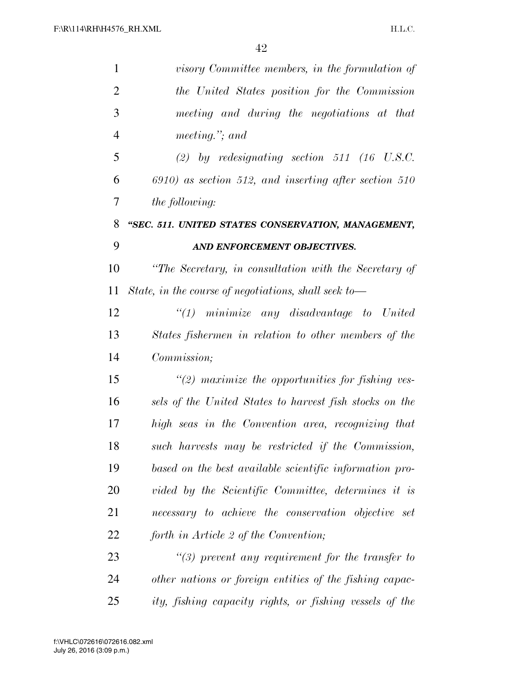| $\mathbf{1}$   | visory Committee members, in the formulation of          |
|----------------|----------------------------------------------------------|
| $\overline{2}$ | the United States position for the Commission            |
| 3              | meeting and during the negotiations at that              |
| $\overline{4}$ | meeting."; and                                           |
| 5              | (2) by redesignating section 511 (16 U.S.C.              |
| 6              | $6910$ ) as section 512, and inserting after section 510 |
| 7              | <i>the following:</i>                                    |
| 8              | "SEC. 511. UNITED STATES CONSERVATION, MANAGEMENT,       |
| 9              | AND ENFORCEMENT OBJECTIVES.                              |
| 10             | "The Secretary, in consultation with the Secretary of    |
| 11             | State, in the course of negotiations, shall seek to $-$  |
| 12             | $\lq(1)$ minimize any disadvantage to United             |
| 13             | States fishermen in relation to other members of the     |
| 14             | Commission;                                              |
| 15             | $\lq(2)$ maximize the opportunities for fishing ves-     |
| 16             | sels of the United States to harvest fish stocks on the  |
| 17             | high seas in the Convention area, recognizing that       |
| 18             | such harvests may be restricted if the Commission,       |
| 19             | based on the best available scientific information pro-  |
| 20             | vided by the Scientific Committee, determines it is      |
| 21             | necessary to achieve the conservation objective set      |
| 22             | forth in Article 2 of the Convention;                    |
| 23             | $\lq(3)$ prevent any requirement for the transfer to     |
| 24             | other nations or foreign entities of the fishing capac-  |
| 25             | ity, fishing capacity rights, or fishing vessels of the  |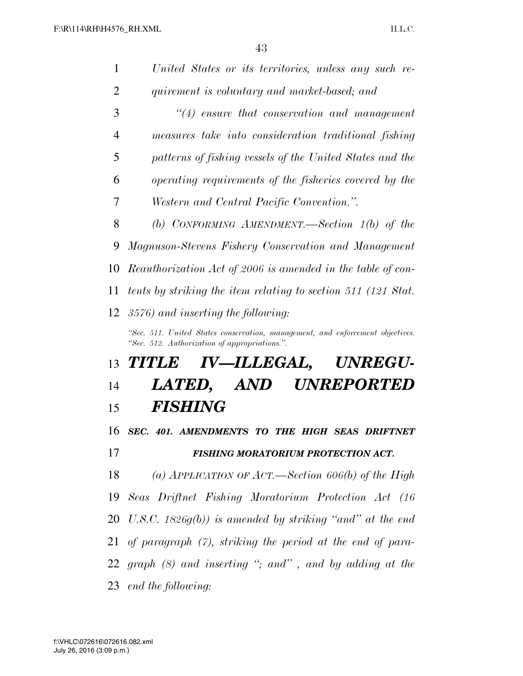| 1              | United States or its territories, unless any such re-                                                                           |
|----------------|---------------------------------------------------------------------------------------------------------------------------------|
| $\overline{2}$ | quirement is voluntary and market-based; and                                                                                    |
| 3              | $\lq(4)$ ensure that conservation and management                                                                                |
| $\overline{4}$ | measures take into consideration traditional fishing                                                                            |
| 5              | patterns of fishing vessels of the United States and the                                                                        |
| 6              | operating requirements of the fisheries covered by the                                                                          |
| 7              | <i>Western and Central Pacific Convention.".</i>                                                                                |
| 8              | (b) CONFORMING AMENDMENT.—Section $1(b)$ of the                                                                                 |
| 9              | Magnuson-Stevens Fishery Conservation and Management                                                                            |
| 10             | Reauthorization Act of 2006 is amended in the table of con-                                                                     |
| 11             | tents by striking the item relating to section 511 (121 Stat.                                                                   |
| 12             | 3576) and inserting the following:                                                                                              |
|                | "Sec. 511. United States conservation, management, and enforcement objectives.<br>"Sec. 512. Authorization of appropriations.". |
| 13             | IV—ILLEGAL,<br><b>TITLE</b><br><b>UNREGU-</b>                                                                                   |
| 14             | UNREPORTED<br><i>LATED,</i><br>AND                                                                                              |
| 15             | <b>FISHING</b>                                                                                                                  |
| 16             | SEC. 401. AMENDMENTS TO THE HIGH SEAS DRIFTNET                                                                                  |
| 17             | <b>FISHING MORATORIUM PROTECTION ACT.</b>                                                                                       |
| 18             | (a) APPLICATION OF ACT.—Section 606(b) of the High                                                                              |
| 19             | Seas Driftnet Fishing Moratorium Protection Act (16                                                                             |
| 20             | U.S.C. 1826 $g(b)$ is amended by striking "and" at the end                                                                      |
| 21             | of paragraph $(7)$ , striking the period at the end of para-                                                                    |
|                | 22 graph $(8)$ and inserting "; and", and by adding at the                                                                      |
|                |                                                                                                                                 |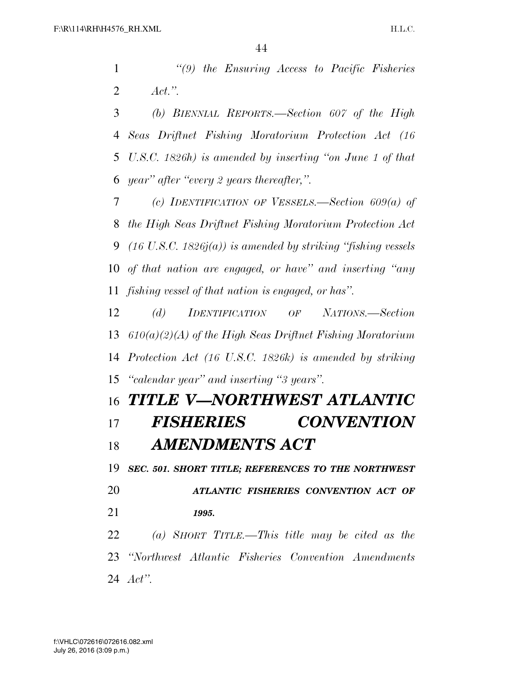*''(9) the Ensuring Access to Pacific Fisheries Act.''.* 

 *(b) BIENNIAL REPORTS.—Section 607 of the High Seas Driftnet Fishing Moratorium Protection Act (16 U.S.C. 1826h) is amended by inserting ''on June 1 of that year'' after ''every 2 years thereafter,''.* 

 *(c) IDENTIFICATION OF VESSELS.—Section 609(a) of the High Seas Driftnet Fishing Moratorium Protection Act (16 U.S.C. 1826j(a)) is amended by striking ''fishing vessels of that nation are engaged, or have'' and inserting ''any fishing vessel of that nation is engaged, or has''.* 

 *(d) IDENTIFICATION OF NATIONS.—Section 610(a)(2)(A) of the High Seas Driftnet Fishing Moratorium Protection Act (16 U.S.C. 1826k) is amended by striking ''calendar year'' and inserting ''3 years''.* 

### *TITLE V—NORTHWEST ATLANTIC FISHERIES CONVENTION AMENDMENTS ACT*

 *SEC. 501. SHORT TITLE; REFERENCES TO THE NORTHWEST ATLANTIC FISHERIES CONVENTION ACT OF 1995. (a) SHORT TITLE.—This title may be cited as the* 

 *''Northwest Atlantic Fisheries Convention Amendments Act''.*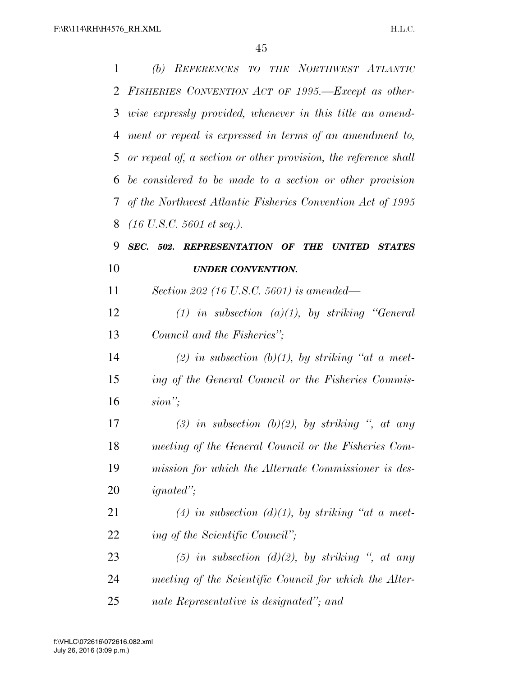| 1  | (b) REFERENCES TO THE NORTHWEST ATLANTIC                        |
|----|-----------------------------------------------------------------|
| 2  | FISHERIES CONVENTION ACT OF 1995.—Except as other-              |
| 3  | wise expressly provided, whenever in this title an amend-       |
| 4  | ment or repeal is expressed in terms of an amendment to,        |
| 5  | or repeal of, a section or other provision, the reference shall |
| 6  | be considered to be made to a section or other provision        |
| 7  | of the Northwest Atlantic Fisheries Convention Act of 1995      |
| 8  | $(16 \text{ U.S. C. } 5601 \text{ et seq.}).$                   |
| 9  | SEC. 502. REPRESENTATION OF THE UNITED<br><b>STATES</b>         |
| 10 | <b>UNDER CONVENTION.</b>                                        |
| 11 | Section 202 (16 U.S.C. 5601) is amended—                        |
| 12 | (1) in subsection (a)(1), by striking "General                  |
| 13 | Council and the Fisheries";                                     |
| 14 | (2) in subsection (b)(1), by striking "at a meet-               |
| 15 | ing of the General Council or the Fisheries Commis-             |
| 16 | $sion$ ";                                                       |
| 17 | (3) in subsection (b)(2), by striking ", at any                 |
| 18 | meeting of the General Council or the Fisheries Com-            |
| 19 | mission for which the Alternate Commissioner is des-            |
| 20 | $\mathit{imated}$ ";                                            |
| 21 | (4) in subsection (d)(1), by striking "at a meet-               |
| 22 | ing of the Scientific Council";                                 |
| 23 | (5) in subsection (d)(2), by striking ", at any                 |
| 24 | meeting of the Scientific Council for which the Alter-          |
| 25 | nate Representative is designated"; and                         |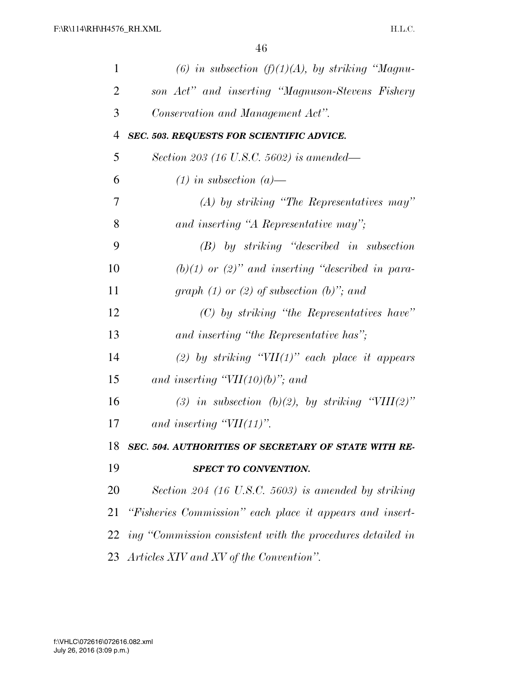| $\mathbf{1}$   | (6) in subsection (f)(1)(A), by striking "Magnu-              |
|----------------|---------------------------------------------------------------|
| $\overline{2}$ | son Act" and inserting "Magnuson-Stevens Fishery              |
| 3              | Conservation and Management Act".                             |
| $\overline{4}$ | <b>SEC. 503. REQUESTS FOR SCIENTIFIC ADVICE.</b>              |
| 5              | Section 203 (16 U.S.C. 5602) is amended—                      |
| 6              | $(1)$ in subsection $(a)$ —                                   |
| 7              | $(A)$ by striking "The Representatives may"                   |
| 8              | and inserting "A Representative may";                         |
| 9              | $(B)$ by striking "described in subsection                    |
| 10             | $(b)(1)$ or $(2)$ " and inserting "described in para-         |
| 11             | graph $(1)$ or $(2)$ of subsection $(b)$ "; and               |
| 12             | $(C)$ by striking "the Representatives have"                  |
| 13             | and inserting "the Representative has";                       |
| 14             | (2) by striking " $VII(1)$ " each place it appears            |
| 15             | and inserting " $VII(10)(b)$ "; and                           |
| 16             | (3) in subsection (b)(2), by striking "VIII(2)"               |
| 17             | and inserting $"VII(11)"$ .                                   |
| 18             | SEC. 504. AUTHORITIES OF SECRETARY OF STATE WITH RE-          |
| 19             | SPECT TO CONVENTION.                                          |
| 20             | Section 204 (16 U.S.C. 5603) is amended by striking           |
| 21             | "Fisheries Commission" each place it appears and insert-      |
|                | 22 ing "Commission consistent with the procedures detailed in |
|                | 23 Articles XIV and XV of the Convention".                    |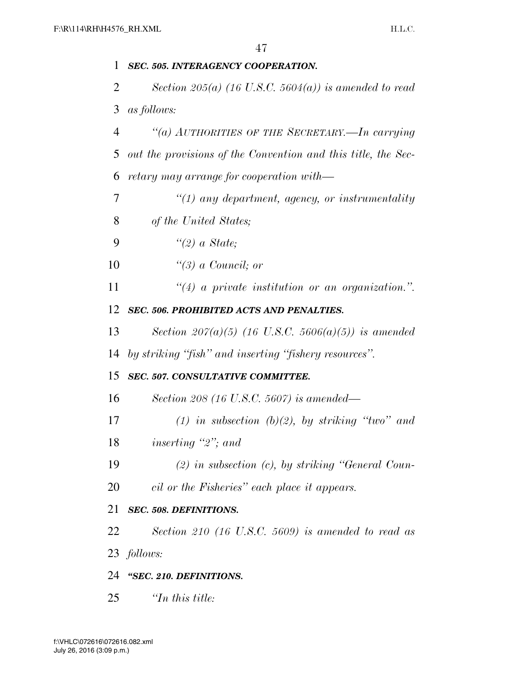### *SEC. 505. INTERAGENCY COOPERATION. Section 205(a) (16 U.S.C. 5604(a)) is amended to read as follows: ''(a) AUTHORITIES OF THE SECRETARY.—In carrying out the provisions of the Convention and this title, the Sec- retary may arrange for cooperation with— ''(1) any department, agency, or instrumentality of the United States; ''(2) a State; ''(3) a Council; or ''(4) a private institution or an organization.''. SEC. 506. PROHIBITED ACTS AND PENALTIES. Section 207(a)(5) (16 U.S.C. 5606(a)(5)) is amended by striking ''fish'' and inserting ''fishery resources''. SEC. 507. CONSULTATIVE COMMITTEE. Section 208 (16 U.S.C. 5607) is amended— (1) in subsection (b)(2), by striking ''two'' and inserting ''2''; and (2) in subsection (c), by striking ''General Coun- cil or the Fisheries'' each place it appears. SEC. 508. DEFINITIONS. Section 210 (16 U.S.C. 5609) is amended to read as follows: ''SEC. 210. DEFINITIONS. ''In this title:*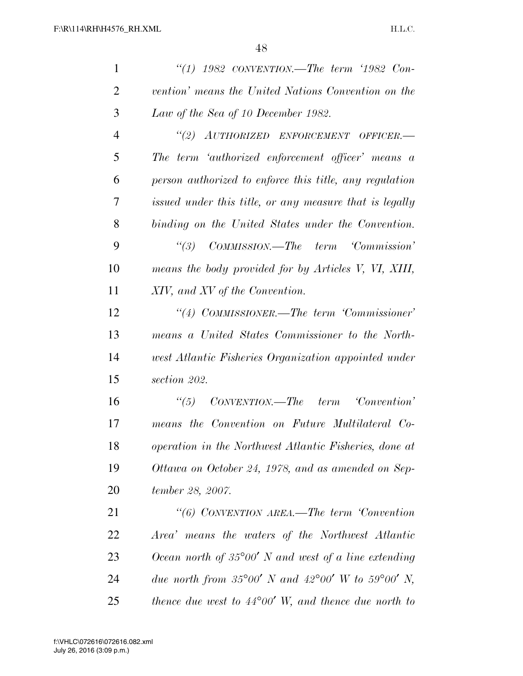| $\mathbf{1}$   | "(1) $1982$ CONVENTION.—The term '1982 Con-                   |
|----------------|---------------------------------------------------------------|
| $\overline{2}$ | vention' means the United Nations Convention on the           |
| 3              | Law of the Sea of 10 December 1982.                           |
| 4              | "(2) AUTHORIZED ENFORCEMENT OFFICER.-                         |
| 5              | The term 'authorized enforcement officer' means a             |
| 6              | person authorized to enforce this title, any regulation       |
| 7              | issued under this title, or any measure that is legally       |
| 8              | binding on the United States under the Convention.            |
| 9              | ``(3)<br>COMMISSION.—The term 'Commission'                    |
| 10             | means the body provided for by Articles V, VI, XIII,          |
| 11             | XIV, and XV of the Convention.                                |
| 12             | "(4) COMMISSIONER.—The term 'Commissioner'                    |
| 13             | means a United States Commissioner to the North-              |
| 14             | west Atlantic Fisheries Organization appointed under          |
| 15             | section 202.                                                  |
| 16             | CONVENTION.—The term Convention'<br>$\frac{1}{15}$            |
| 17             | means the Convention on Future Multilateral Co-               |
| 18             | operation in the Northwest Atlantic Fisheries, done at        |
| 19             | Ottawa on October 24, 1978, and as amended on Sep-            |
| <b>20</b>      | tember 28, 2007.                                              |
| 21             | "(6) CONVENTION AREA.—The term Convention                     |
| 22             | Area' means the waters of the Northwest Atlantic              |
| 23             | Ocean north of $35^{\circ}00'$ N and west of a line extending |
| 24             | due north from 35°00' N and 42°00' W to 59°00' N,             |
| 25             | thence due west to $44^{\circ}00'$ W, and thence due north to |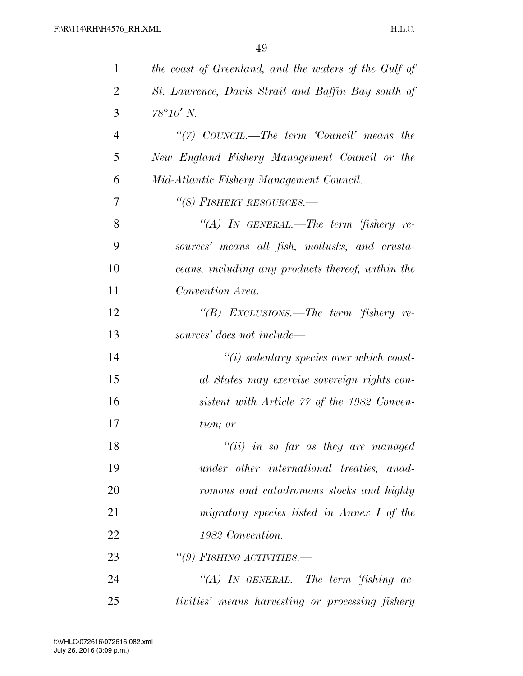| $\mathbf{1}$   | the coast of Greenland, and the waters of the Gulf of |
|----------------|-------------------------------------------------------|
| $\overline{2}$ | St. Lawrence, Davis Strait and Baffin Bay south of    |
| 3              | $78^{\circ}10'$ N.                                    |
| $\overline{4}$ | "(7) $CovNCL$ .—The term 'Council' means the          |
| 5              | New England Fishery Management Council or the         |
| 6              | Mid-Atlantic Fishery Management Council.              |
| 7              | "(8) FISHERY RESOURCES.-                              |
| 8              | "(A) IN GENERAL.—The term 'fishery re-                |
| 9              | sources' means all fish, mollusks, and crusta-        |
| 10             | ceans, including any products thereof, within the     |
| 11             | Convention Area.                                      |
| 12             | "(B) EXCLUSIONS.—The term 'fishery re-                |
| 13             | sources' does not include—                            |
| 14             | $\lq\lq(i)$ sedentary species over which coast-       |
| 15             | al States may exercise sovereign rights con-          |
| 16             | sistent with Article 77 of the 1982 Conven-           |
| 17             | tion; or                                              |
| 18             | " $(ii)$ in so far as they are managed                |
| 19             | under other international treaties, anad-             |
| 20             | romous and catadromous stocks and highly              |
| 21             | migratory species listed in Annex I of the            |
| 22             | 1982 Convention.                                      |
| 23             | "(9) FISHING ACTIVITIES.-                             |
| 24             | "(A) IN GENERAL.—The term 'fishing ac-                |
| 25             | tivities' means harvesting or processing fishery      |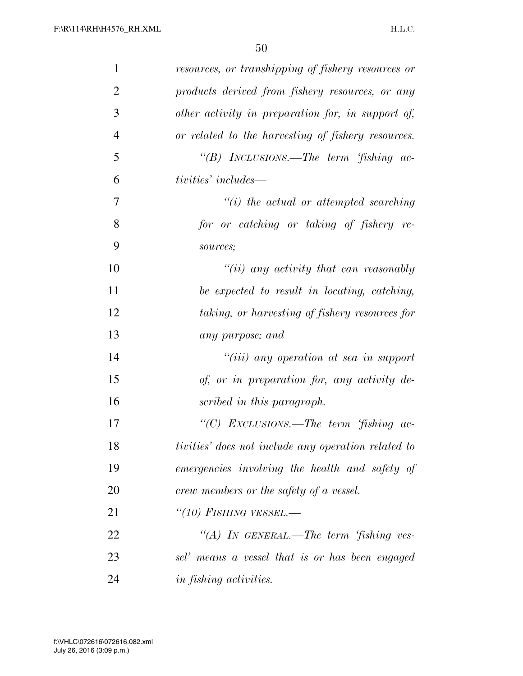| $\mathbf{1}$   | resources, or transhipping of fishery resources or  |
|----------------|-----------------------------------------------------|
| $\overline{2}$ | products derived from fishery resources, or any     |
| 3              | other activity in preparation for, in support of,   |
| $\overline{4}$ | or related to the harvesting of fishery resources.  |
| 5              | "(B) INCLUSIONS.—The term 'fishing ac-              |
| 6              | tivities' includes—                                 |
| 7              | $\lq\lq(i)$ the actual or attempted searching       |
| 8              | for or catching or taking of fishery re-            |
| 9              | sources;                                            |
| 10             | $``(ii)$ any activity that can reasonably           |
| 11             | be expected to result in locating, catching,        |
| 12             | taking, or harvesting of fishery resources for      |
| 13             | any purpose; and                                    |
| 14             | $``(iii)$ any operation at sea in support           |
| 15             | of, or in preparation for, any activity de-         |
| 16             | scribed in this paragraph.                          |
| 17             | "(C) EXCLUSIONS.—The term 'fishing ac-              |
| 18             | tivities' does not include any operation related to |
| 19             | emergencies involving the health and safety of      |
| 20             | crew members or the safety of a vessel.             |
| 21             | "(10) FISHING VESSEL.—                              |
| 22             | "(A) IN GENERAL.—The term 'fishing ves-             |
| 23             | sel' means a vessel that is or has been engaged     |
| 24             | in fishing activities.                              |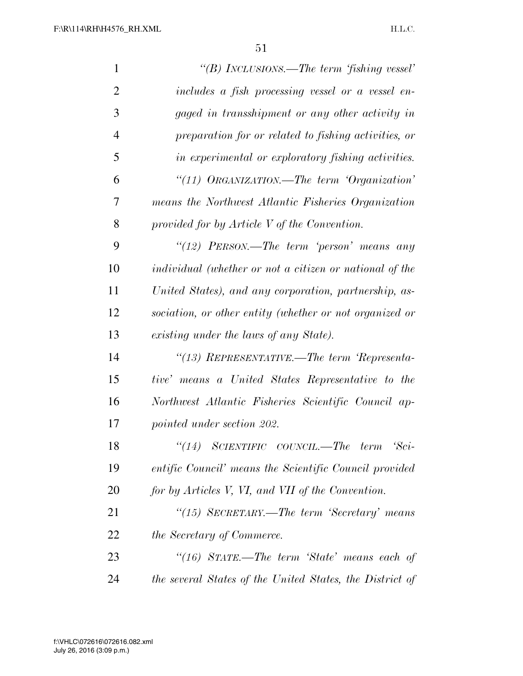| $\mathbf{1}$   | "(B) INCLUSIONS.—The term 'fishing vessel'               |
|----------------|----------------------------------------------------------|
| $\overline{2}$ | includes a fish processing vessel or a vessel en-        |
| 3              | gaged in transshipment or any other activity in          |
| $\overline{4}$ | preparation for or related to fishing activities, or     |
| 5              | in experimental or exploratory fishing activities.       |
| 6              | "(11) $O$ RGANIZATION.—The term 'Organization'           |
| 7              | means the Northwest Atlantic Fisheries Organization      |
| 8              | provided for by Article V of the Convention.             |
| 9              | "(12) PERSON.—The term 'person' means any                |
| 10             | individual (whether or not a citizen or national of the  |
| 11             | United States), and any corporation, partnership, as-    |
| 12             | sociation, or other entity (whether or not organized or  |
| 13             | existing under the laws of any State).                   |
| 14             | "(13) REPRESENTATIVE.—The term 'Representa-              |
| 15             | tive' means a United States Representative to the        |
| 16             | Northwest Atlantic Fisheries Scientific Council ap-      |
| 17             | pointed under section 202.                               |
| 18             | (14)<br>SCIENTIFIC COUNCIL.—The term<br>$Sci$ -          |
| 19             | entific Council' means the Scientific Council provided   |
| 20             | for by Articles V, VI, and VII of the Convention.        |
| 21             | "(15) SECRETARY.—The term 'Secretary' means              |
| 22             | <i>the Secretary of Commerce.</i>                        |
| 23             | "(16) $STATE$ —The term 'State' means each of            |
| 24             | the several States of the United States, the District of |